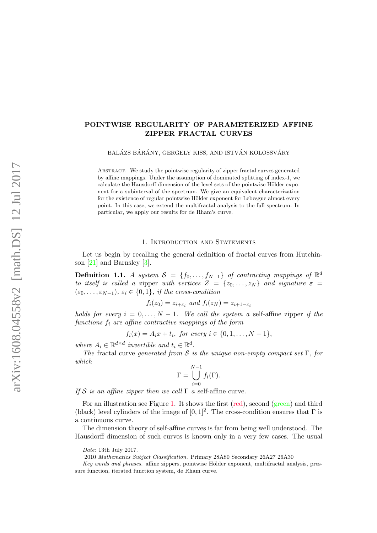# POINTWISE REGULARITY OF PARAMETERIZED AFFINE ZIPPER FRACTAL CURVES

BALÁZS BÁRÁNY, GERGELY KISS, AND ISTVÁN KOLOSSVÁRY

ABSTRACT. We study the pointwise regularity of zipper fractal curves generated by affine mappings. Under the assumption of dominated splitting of index-1, we calculate the Hausdorff dimension of the level sets of the pointwise Hölder exponent for a subinterval of the spectrum. We give an equivalent characterization for the existence of regular pointwise Hölder exponent for Lebesgue almost every point. In this case, we extend the multifractal analysis to the full spectrum. In particular, we apply our results for de Rham's curve.

### 1. Introduction and Statements

Let us begin by recalling the general definition of fractal curves from Hutchinson [\[21\]](#page-25-0) and Barnsley [\[3\]](#page-25-1).

<span id="page-0-0"></span>**Definition 1.1.** A system  $S = \{f_0, \ldots, f_{N-1}\}\$  of contracting mappings of  $\mathbb{R}^d$ to itself is called a zipper with vertices  $Z = \{z_0, \ldots, z_N\}$  and signature  $\varepsilon =$  $(\varepsilon_0, \ldots, \varepsilon_{N-1}), \varepsilon_i \in \{0,1\},\$ if the cross-condition

$$
f_i(z_0) = z_{i+\varepsilon_i} \text{ and } f_i(z_N) = z_{i+1-\varepsilon_i}
$$

holds for every  $i = 0, \ldots, N - 1$ . We call the system a self-affine zipper if the functions  $f_i$  are affine contractive mappings of the form

$$
f_i(x) = A_i x + t_i
$$
, for every  $i \in \{0, 1, ..., N - 1\}$ ,

where  $A_i \in \mathbb{R}^{d \times d}$  invertible and  $t_i \in \mathbb{R}^d$ .

The fractal curve generated from S is the unique non-empty compact set  $\Gamma$ , for which

$$
\Gamma = \bigcup_{i=0}^{N-1} f_i(\Gamma).
$$

If S is an affine zipper then we call  $\Gamma$  a self-affine curve.

For an illustration see Figure [1.](#page-1-0) It shows the first (red), second (green) and third (black) level cylinders of the image of  $[0, 1]^2$ . The cross-condition ensures that  $\Gamma$  is a continuous curve.

The dimension theory of self-affine curves is far from being well understood. The Hausdorff dimension of such curves is known only in a very few cases. The usual

Date: 13th July 2017.

<sup>2010</sup> Mathematics Subject Classification. Primary 28A80 Secondary 26A27 26A30

 $Key words and phrases$ , affine zippers, pointwise Hölder exponent, multifractal analysis, pressure function, iterated function system, de Rham curve.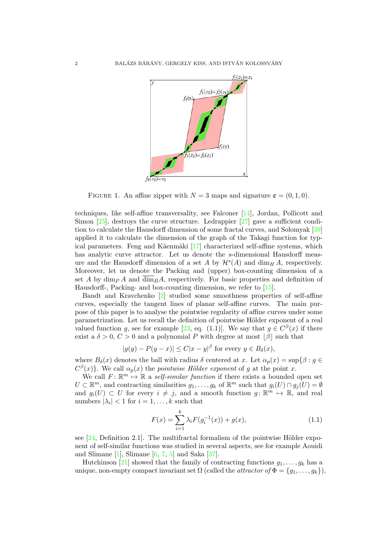

<span id="page-1-0"></span>FIGURE 1. An affine zipper with  $N = 3$  maps and signature  $\varepsilon = (0, 1, 0)$ .

techniques, like self-affine transversality, see Falconer [\[14\]](#page-25-2), Jordan, Pollicott and Simon  $[25]$ , destroys the curve structure. Ledrappier  $[27]$  gave a sufficient condition to calculate the Hausdorff dimension of some fractal curves, and Solomyak [\[39\]](#page-26-0) applied it to calculate the dimension of the graph of the Takagi function for typical parameters. Feng and Käenmäki  $[17]$  characterized self-affine systems, which has analytic curve attractor. Let us denote the s-dimensional Hausdorff measure and the Hausdorff dimension of a set A by  $\mathcal{H}^s(A)$  and  $\dim_H A$ , respectively. Moreover, let us denote the Packing and (upper) box-counting dimension of a set A by  $\dim_{P} A$  and  $\dim_{B} A$ , respectively. For basic properties and definition of Hausdorff-, Packing- and box-counting dimension, we refer to [\[15\]](#page-25-6).

Bandt and Kravchenko [\[2\]](#page-25-7) studied some smoothness properties of self-affine curves, especially the tangent lines of planar self-affine curves. The main purpose of this paper is to analyse the pointwise regularity of affine curves under some parametrization. Let us recall the definition of pointwise Hölder exponent of a real valued function g, see for example [\[23,](#page-25-8) eq. (1.1)]. We say that  $g \in C^{\beta}(x)$  if there exist a  $\delta > 0$ ,  $C > 0$  and a polynomial P with degree at most  $|\beta|$  such that

$$
|g(y) - P(y - x)| \le C|x - y|^{\beta} \text{ for every } y \in B_{\delta}(x),
$$

where  $B_\delta(x)$  denotes the ball with radius  $\delta$  centered at x. Let  $\alpha_p(x) = \sup\{\beta : g \in$  $C^{\beta}(x)$ . We call  $\alpha_p(x)$  the *pointwise Hölder exponent* of g at the point x.

We call  $F: \mathbb{R}^m \mapsto \mathbb{R}$  a self-similar function if there exists a bounded open set  $U \subset \mathbb{R}^m$ , and contracting similarities  $g_1, \ldots, g_k$  of  $\mathbb{R}^m$  such that  $g_i(U) \cap g_j(U) = \emptyset$ and  $g_i(U) \subset U$  for every  $i \neq j$ , and a smooth function  $g: \mathbb{R}^m \mapsto \mathbb{R}$ , and real numbers  $|\lambda_i| < 1$  for  $i = 1, ..., k$  such that

<span id="page-1-1"></span>
$$
F(x) = \sum_{i=1}^{k} \lambda_i F(g_i^{-1}(x)) + g(x), \qquad (1.1)
$$

see  $[24,$  Definition 2.1]. The multifractal formalism of the pointwise Hölder exponent of self-similar functions was studied in several aspects, see for example Aouidi and Slimane  $[1]$ , Slimane  $[6, 7, 5]$  $[6, 7, 5]$  $[6, 7, 5]$  $[6, 7, 5]$  and Saka  $[37]$ .

Hutchinson [\[21\]](#page-25-0) showed that the family of contracting functions  $q_1, \ldots, q_k$  has a unique, non-empty compact invariant set  $\Omega$  (called the *attractor of*  $\Phi = \{g_1, \ldots, g_k\},\$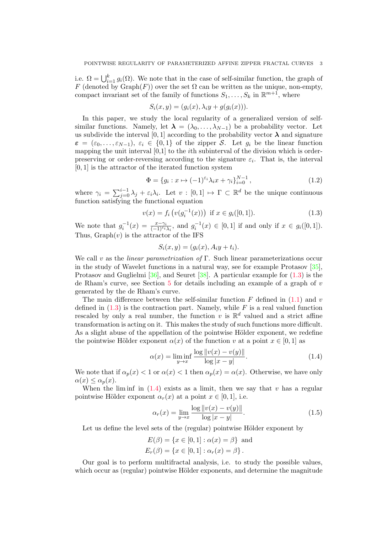i.e.  $\Omega = \bigcup_{i=1}^{k} g_i(\Omega)$ . We note that in the case of self-similar function, the graph of F (denoted by  $Graph(F)$ ) over the set  $\Omega$  can be written as the unique, non-empty, compact invariant set of the family of functions  $S_1, \ldots, S_k$  in  $\mathbb{R}^{m+1}$ , where

$$
S_i(x, y) = (g_i(x), \lambda_i y + g(g_i(x))).
$$

In this paper, we study the local regularity of a generalized version of selfsimilar functions. Namely, let  $\lambda = (\lambda_0, \ldots, \lambda_{N-1})$  be a probability vector. Let us subdivide the interval [0, 1] according to the probability vector  $\lambda$  and signature  $\varepsilon = (\varepsilon_0, \ldots, \varepsilon_{N-1}), \varepsilon_i \in \{0,1\}$  of the zipper S. Let  $g_i$  be the linear function mapping the unit interval  $[0,1]$  to the *i*th subinterval of the division which is orderpreserving or order-reversing according to the signature  $\varepsilon_i$ . That is, the interval  $[0, 1]$  is the attractor of the iterated function system

$$
\Phi = \{g_i : x \mapsto (-1)^{\varepsilon_i} \lambda_i x + \gamma_i\}_{i=0}^{N-1},
$$
\n(1.2)

where  $\gamma_i = \sum_{j=0}^{i-1} \lambda_j + \varepsilon_i \lambda_i$ . Let  $v : [0,1] \mapsto \Gamma \subset \mathbb{R}^d$  be the unique continuous function satisfying the functional equation

<span id="page-2-0"></span>
$$
v(x) = f_i\left(v(g_i^{-1}(x))\right) \text{ if } x \in g_i([0,1]). \tag{1.3}
$$

We note that  $g_i^{-1}(x) = \frac{x - \gamma_i}{(-1)^{\varepsilon_i} \lambda_i}$ , and  $g_i^{-1}(x) \in [0, 1]$  if and only if  $x \in g_i([0, 1])$ . Thus,  $Graph(v)$  is the attractor of the IFS

$$
S_i(x, y) = (g_i(x), A_iy + t_i).
$$

We call v as the *linear parametrization of* Γ. Such linear parameterizations occur in the study of Wavelet functions in a natural way, see for example Protasov [\[35\]](#page-26-2), Protasov and Guglielmi [\[36\]](#page-26-3), and Seuret [\[38\]](#page-26-4). A particular example for [\(1.3\)](#page-2-0) is the de Rham's curve, see Section  $5$  for details including an example of a graph of  $v$ generated by the de Rham's curve.

The main difference between the self-similar function  $F$  defined in [\(1.1\)](#page-1-1) and v defined in  $(1.3)$  is the contraction part. Namely, while F is a real valued function rescaled by only a real number, the function v is  $\mathbb{R}^d$  valued and a strict affine transformation is acting on it. This makes the study of such functions more difficult. As a slight abuse of the appellation of the pointwise Hölder exponent, we redefine the pointwise Hölder exponent  $\alpha(x)$  of the function v at a point  $x \in [0,1]$  as

<span id="page-2-1"></span>
$$
\alpha(x) = \liminf_{y \to x} \frac{\log \|v(x) - v(y)\|}{\log |x - y|}.
$$
\n(1.4)

We note that if  $\alpha_p(x) < 1$  or  $\alpha(x) < 1$  then  $\alpha_p(x) = \alpha(x)$ . Otherwise, we have only  $\alpha(x) \leq \alpha_n(x)$ .

When the lim inf in  $(1.4)$  exists as a limit, then we say that v has a regular pointwise Hölder exponent  $\alpha_r(x)$  at a point  $x \in [0,1]$ , i.e.

$$
\alpha_r(x) = \lim_{y \to x} \frac{\log \|v(x) - v(y)\|}{\log |x - y|}.
$$
\n(1.5)

Let us define the level sets of the (regular) pointwise Hölder exponent by

$$
E(\beta) = \{x \in [0, 1] : \alpha(x) = \beta\} \text{ and}
$$
  

$$
E_r(\beta) = \{x \in [0, 1] : \alpha_r(x) = \beta\}.
$$

Our goal is to perform multifractal analysis, i.e. to study the possible values, which occur as (regular) pointwise Hölder exponents, and determine the magnitude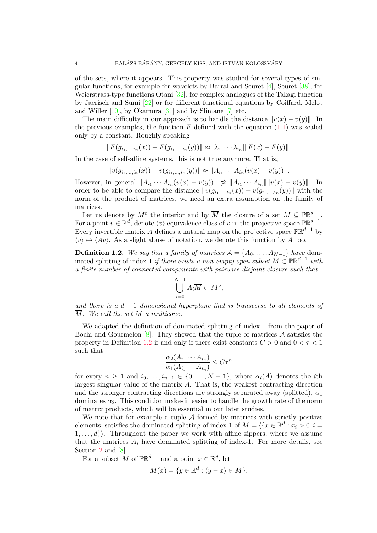of the sets, where it appears. This property was studied for several types of singular functions, for example for wavelets by Barral and Seuret  $[4]$ , Seuret  $[38]$ , for Weierstrass-type functions Otani [\[32\]](#page-26-5), for complex analogues of the Takagi function by Jaerisch and Sumi [\[22\]](#page-25-15) or for different functional equations by Coiffard, Melot and Willer  $[10]$ , by Okamura  $[31]$  and by Slimane  $[7]$  etc.

The main difficulty in our approach is to handle the distance  $||v(x) - v(y)||$ . In the previous examples, the function  $F$  defined with the equation  $(1.1)$  was scaled only by a constant. Roughly speaking

$$
||F(g_{i_1,\dots,i_n}(x)) - F(g_{i_1,\dots,i_n}(y))|| \approx |\lambda_{i_1} \cdots \lambda_{i_n}||F(x) - F(y)||.
$$

In the case of self-affine systems, this is not true anymore. That is,

$$
||v(g_{i_1,\ldots,i_n}(x)) - v(g_{i_1,\ldots,i_n}(y))|| \approx ||A_{i_1} \cdots A_{i_n}(v(x) - v(y))||.
$$

However, in general  $||A_{i_1} \cdots A_{i_n}(v(x) - v(y))|| \not\approx ||A_{i_1} \cdots A_{i_n}|| ||v(x) - v(y)||$ . In order to be able to compare the distance  $||v(g_{i_1,\ldots,i_n}(x)) - v(g_{i_1,\ldots,i_n}(y))||$  with the norm of the product of matrices, we need an extra assumption on the family of matrices.

Let us denote by  $M^o$  the interior and by  $\overline{M}$  the closure of a set  $M \subseteq \mathbb{PR}^{d-1}$ . For a point  $v \in \mathbb{R}^d$ , denote  $\langle v \rangle$  equivalence class of v in the projective space  $\mathbb{PR}^{d-1}$ . Every invertible matrix A defines a natural map on the projective space  $\mathbb{PR}^{d-1}$  by  $\langle v \rangle \mapsto \langle Av \rangle$ . As a slight abuse of notation, we denote this function by A too.

<span id="page-3-0"></span>**Definition 1.2.** We say that a family of matrices  $A = \{A_0, \ldots, A_{N-1}\}\$  have dominated splitting of index-1 if there exists a non-empty open subset  $M \subset \mathbb{PR}^{d-1}$  with a finite number of connected components with pairwise disjoint closure such that

$$
\bigcup_{i=0}^{N-1} A_i \overline{M} \subset M^o,
$$

and there is a  $d-1$  dimensional hyperplane that is transverse to all elements of M. We call the set M a multicone.

We adapted the definition of dominated splitting of index-1 from the paper of Bochi and Gourmelon  $[8]$ . They showed that the tuple of matrices A satisfies the property in Definition [1.2](#page-3-0) if and only if there exist constants  $C > 0$  and  $0 < \tau < 1$ such that

$$
\frac{\alpha_2(A_{i_1}\cdots A_{i_n})}{\alpha_1(A_{i_1}\cdots A_{i_n})}\leq C\tau^n
$$

for every  $n \geq 1$  and  $i_0, \ldots, i_{n-1} \in \{0, \ldots, N-1\}$ , where  $\alpha_i(A)$  denotes the *i*th largest singular value of the matrix  $A$ . That is, the weakest contracting direction and the stronger contracting directions are strongly separated away (splitted),  $\alpha_1$ dominates  $\alpha_2$ . This condition makes it easier to handle the growth rate of the norm of matrix products, which will be essential in our later studies.

We note that for example a tuple  $A$  formed by matrices with strictly positive elements, satisfies the dominated splitting of index-1 of  $M = \langle \{x \in \mathbb{R}^d : x_i > 0, i =$  $\{1, \ldots, d\}$ . Throughout the paper we work with affine zippers, where we assume that the matrices  $A_i$  have dominated splitting of index-1. For more details, see Section [2](#page-5-0) and  $[8]$ .

For a subset M of  $\mathbb{PR}^{d-1}$  and a point  $x \in \mathbb{R}^d$ , let

$$
M(x) = \{ y \in \mathbb{R}^d : \langle y - x \rangle \in M \}.
$$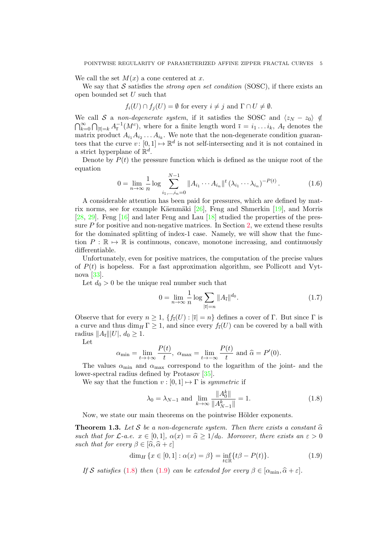We call the set  $M(x)$  a cone centered at x.

We say that S satisfies the *strong open set condition* (SOSC), if there exists an open bounded set U such that

$$
f_i(U) \cap f_j(U) = \emptyset
$$
 for every  $i \neq j$  and  $\Gamma \cap U \neq \emptyset$ .

We call S a non-degenerate system, if it satisfies the SOSC and  $\langle z_N - z_0 \rangle \notin$  $\bigcap_{k=0}^{\infty} \bigcap_{|\bar{\imath}|=k} A_{\bar{\imath}}^{-1}(M^c)$ , where for a finite length word  $\bar{\imath} = i_1 \dots i_k$ ,  $A_{\bar{\imath}}$  denotes the matrix product  $A_{i_1}A_{i_2}\ldots A_{i_k}$ . We note that the non-degenerate condition guarantees that the curve  $v: [0,1] \mapsto \mathbb{R}^d$  is not self-intersecting and it is not contained in a strict hyperplane of  $\mathbb{R}^d$ .

Denote by  $P(t)$  the pressure function which is defined as the unique root of the equation

<span id="page-4-3"></span>
$$
0 = \lim_{n \to \infty} \frac{1}{n} \log \sum_{i_1, \dots, i_n = 0}^{N-1} \|A_{i_1} \cdots A_{i_n}\|^{t} \left(\lambda_{i_1} \cdots \lambda_{i_n}\right)^{-P(t)}.
$$
 (1.6)

A considerable attention has been paid for pressures, which are defined by mat-rix norms, see for example Käenmäki [\[26\]](#page-25-18), Feng and Shmerkin [\[19\]](#page-25-19), and Morris [\[28,](#page-26-7) [29\]](#page-26-8). Feng [\[16\]](#page-25-20) and later Feng and Lau [\[18\]](#page-25-21) studied the properties of the pressure P for positive and non-negative matrices. In Section [2,](#page-5-0) we extend these results for the dominated splitting of index-1 case. Namely, we will show that the function  $P : \mathbb{R} \to \mathbb{R}$  is continuous, concave, monotone increasing, and continuously differentiable.

Unfortunately, even for positive matrices, the computation of the precise values of  $P(t)$  is hopeless. For a fast approximation algorithm, see Pollicott and Vytnova [\[33\]](#page-26-9).

Let  $d_0 > 0$  be the unique real number such that

<span id="page-4-4"></span>
$$
0 = \lim_{n \to \infty} \frac{1}{n} \log \sum_{|\bar{\imath}| = n} \|A_{\bar{\imath}}\|^{d_0}.
$$
 (1.7)

Observe that for every  $n \geq 1$ ,  $\{f_{\overline{i}}(U) : |\overline{i}| = n\}$  defines a cover of Γ. But since Γ is a curve and thus dim<sub>H</sub>  $\Gamma \geq 1$ , and since every  $f_{\bar{i}}(U)$  can be covered by a ball with radius  $||A_{\bar{i}}|||U|, d_0 \geq 1.$ 

Let

$$
\alpha_{\min} = \lim_{t \to +\infty} \frac{P(t)}{t}, \ \alpha_{\max} = \lim_{t \to -\infty} \frac{P(t)}{t} \text{ and } \widehat{\alpha} = P'(0).
$$

The values  $\alpha_{\min}$  and  $\alpha_{\max}$  correspond to the logarithm of the joint- and the lower-spectral radius defined by Protasov [\[35\]](#page-26-2).

We say that the function  $v : [0, 1] \mapsto \Gamma$  is symmetric if

<span id="page-4-0"></span>
$$
\lambda_0 = \lambda_{N-1}
$$
 and  $\lim_{k \to \infty} \frac{\|A_0^k\|}{\|A_{N-1}^k\|} = 1.$  (1.8)

Now, we state our main theorems on the pointwise Hölder exponents.

<span id="page-4-2"></span>**Theorem 1.3.** Let S be a non-degenerate system. Then there exists a constant  $\widehat{\alpha}$ such that for  $\mathcal{L}\text{-}a.e.$   $x \in [0,1], \alpha(x) = \widehat{\alpha} \ge 1/d_0.$  Moreover, there exists an  $\varepsilon > 0$ such that for every  $\beta \in [\widehat{\alpha}, \widehat{\alpha} + \varepsilon]$ 

<span id="page-4-1"></span>
$$
\dim_H \{ x \in [0,1] : \alpha(x) = \beta \} = \inf_{t \in \mathbb{R}} \{ t\beta - P(t) \}. \tag{1.9}
$$

If S satisfies [\(1.8\)](#page-4-0) then [\(1.9\)](#page-4-1) can be extended for every  $\beta \in [\alpha_{\min}, \hat{\alpha} + \varepsilon].$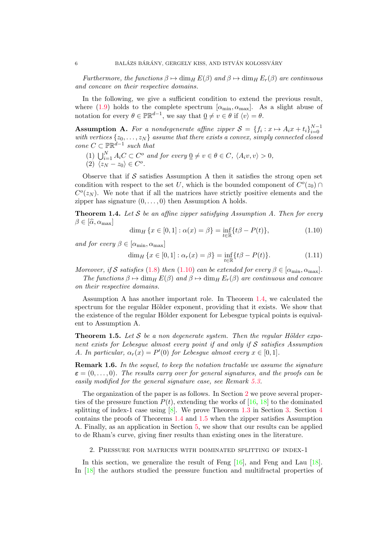Furthermore, the functions  $\beta \mapsto \dim_H E(\beta)$  and  $\beta \mapsto \dim_H E_r(\beta)$  are continuous and concave on their respective domains.

In the following, we give a sufficient condition to extend the previous result, where [\(1.9\)](#page-4-1) holds to the complete spectrum  $[\alpha_{\min}, \alpha_{\max}]$ . As a slight abuse of notation for every  $\theta \in \mathbb{PR}^{d-1}$ , we say that  $\underline{0} \neq v \in \theta$  if  $\langle v \rangle = \theta$ .

**Assumption A.** For a nondegenerate affine zipper  $S = \{f_i : x \mapsto A_i x + t_i\}_{i=0}^{N-1}$ **EXAMPLE 10.** For a nondegenerate diffuse zapper  $S = \{j_i : x \mapsto A_i x + \iota_i j_{i=0} \}$  with vertices  $\{z_0, \ldots, z_N\}$  assume that there exists a convex, simply connected closed cone  $C \subset \mathbb{PR}^{d-1}$  such that

- (1)  $\bigcup_{i=1}^{N} A_i C \subset C^o$  and for every  $\underline{0} \neq v \in \theta \in C$ ,  $\langle A_i v, v \rangle > 0$ ,
- (2)  $\langle z_N z_0 \rangle \in C^o$ .

Observe that if  $S$  satisfies Assumption A then it satisfies the strong open set condition with respect to the set U, which is the bounded component of  $C<sup>o</sup>(z<sub>0</sub>)$  $C<sup>o</sup>(z<sub>N</sub>)$ . We note that if all the matrices have strictly positive elements and the zipper has signature  $(0, \ldots, 0)$  then Assumption A holds.

<span id="page-5-2"></span>**Theorem 1.4.** Let S be an affine zipper satisfying Assumption A. Then for every  $\beta \in [\hat{\alpha}, \alpha_{\max}]$ 

<span id="page-5-1"></span>
$$
\dim_H \{ x \in [0,1] : \alpha(x) = \beta \} = \inf_{t \in \mathbb{R}} \{ t\beta - P(t) \},\tag{1.10}
$$

and for every  $\beta \in [\alpha_{\min}, \alpha_{\max}]$ 

$$
\dim_H \{ x \in [0,1] : \alpha_r(x) = \beta \} = \inf_{t \in \mathbb{R}} \{ t\beta - P(t) \}. \tag{1.11}
$$

Moreover, if S satisfies [\(1.8\)](#page-4-0) then [\(1.10\)](#page-5-1) can be extended for every  $\beta \in [\alpha_{\min}, \alpha_{\max}]$ . The functions  $\beta \mapsto \dim_H E(\beta)$  and  $\beta \mapsto \dim_H E_r(\beta)$  are continuous and concave on their respective domains.

Assumption A has another important role. In Theorem [1.4,](#page-5-2) we calculated the spectrum for the regular Hölder exponent, providing that it exists. We show that the existence of the regular Hölder exponent for Lebesgue typical points is equivalent to Assumption A.

<span id="page-5-3"></span>**Theorem 1.5.** Let S be a non degenerate system. Then the regular Hölder exponent exists for Lebesque almost every point if and only if  $S$  satisfies Assumption A. In particular,  $\alpha_r(x) = P'(0)$  for Lebesgue almost every  $x \in [0,1]$ .

Remark 1.6. In the sequel, to keep the notation tractable we assume the signature  $\varepsilon = (0, \ldots, 0)$ . The results carry over for general signatures, and the proofs can be easily modified for the general signature case, see Remark [5.3.](#page-24-0)

The organization of the paper is as follows. In Section [2](#page-5-0) we prove several properties of the pressure function  $P(t)$ , extending the works of [\[16,](#page-25-20) [18\]](#page-25-21) to the dominated splitting of index-1 case using  $[8]$ . We prove Theorem [1.3](#page-4-2) in Section [3.](#page-10-0) Section [4](#page-17-0) contains the proofs of Theorems [1.4](#page-5-2) and [1.5](#page-5-3) when the zipper satisfies Assumption A. Finally, as an application in Section [5,](#page-21-0) we show that our results can be applied to de Rham's curve, giving finer results than existing ones in the literature.

2. Pressure for matrices with dominated splitting of index-1

<span id="page-5-0"></span>In this section, we generalize the result of Feng  $[16]$ , and Feng and Lau  $[18]$ . In [\[18\]](#page-25-21) the authors studied the pressure function and multifractal properties of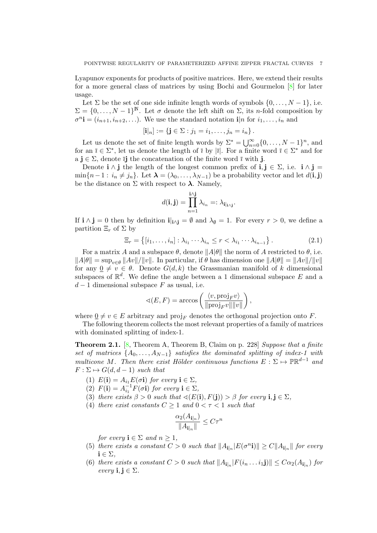Lyapunov exponents for products of positive matrices. Here, we extend their results for a more general class of matrices by using Bochi and Gourmelon [\[8\]](#page-25-17) for later usage.

Let  $\Sigma$  be the set of one side infinite length words of symbols  $\{0, \ldots, N-1\}$ , i.e.  $\Sigma = \{0, \ldots, N-1\}^{\mathbb{N}}$ . Let  $\sigma$  denote the left shift on  $\Sigma$ , its *n*-fold composition by  $\sigma^n$ **i** =  $(i_{n+1}, i_{n+2}, \ldots)$ . We use the standard notation **i**|n for  $i_1, \ldots, i_n$  and

$$
[\mathbf{i}|_n] := \{ \mathbf{j} \in \Sigma : j_1 = i_1, \dots, j_n = i_n \}.
$$

Let us denote the set of finite length words by  $\Sigma^* = \bigcup_{n=0}^{\infty} \{0, \ldots, N-1\}^n$ , and for an  $\bar{\imath} \in \Sigma^*$ , let us denote the length of  $\bar{\imath}$  by  $|\bar{\imath}|$ . For a finite word  $\bar{\imath} \in \Sigma^*$  and for a  $j \in \Sigma$ , denote  $\overline{i}j$  the concatenation of the finite word  $\overline{i}$  with j.

Denote  $i \wedge j$  the length of the longest common prefix of  $i, j \in \Sigma$ , i.e.  $i \wedge j =$  $\min\{n-1: i_n \neq j_n\}.$  Let  $\boldsymbol{\lambda} = (\lambda_0, \ldots, \lambda_{N-1})$  be a probability vector and let  $d(i, j)$ be the distance on  $\Sigma$  with respect to  $\lambda$ . Namely,

$$
d(\mathbf{i}, \mathbf{j}) = \prod_{n=1}^{\mathbf{i} \wedge \mathbf{j}} \lambda_{i_n} =: \lambda_{\mathbf{i} |_{\mathbf{i} \wedge \mathbf{j}}}.
$$

If  $\mathbf{i} \wedge \mathbf{j} = 0$  then by definition  $\mathbf{i}|_{\mathbf{i} \wedge \mathbf{i}} = \emptyset$  and  $\lambda_{\emptyset} = 1$ . For every  $r > 0$ , we define a partition  $\Xi_r$  of  $\Sigma$  by

$$
\Xi_r = \{ [i_1, \ldots, i_n] : \lambda_{i_1} \cdots \lambda_{i_n} \le r < \lambda_{i_1} \cdots \lambda_{i_{n-1}} \}.
$$
\n
$$
(2.1)
$$

For a matrix A and a subspace  $\theta$ , denote  $||A|\theta||$  the norm of A restricted to  $\theta$ , i.e.  $||A|\theta|| = \sup_{v \in \theta} ||Av||/||v||$ . In particular, if  $\theta$  has dimension one  $||A|\theta|| = ||Av||/||v||$ for any  $0 \neq v \in \theta$ . Denote  $G(d, k)$  the Grassmanian manifold of k dimensional subspaces of  $\mathbb{R}^d$ . We define the angle between a 1 dimensional subspace E and a  $d-1$  dimensional subspace F as usual, i.e.

$$
\triangleleft(E, F) = \arccos\left(\frac{\langle v, \text{proj}_F v \rangle}{\|\text{proj}_F v\| \|\text{vol}}\right),\right
$$

where  $\underline{0} \neq v \in E$  arbitrary and proj<sub>F</sub> denotes the orthogonal projection onto F.

The following theorem collects the most relevant properties of a family of matrices with dominated splitting of index-1.

<span id="page-6-0"></span>**Theorem 2.1.** [\[8,](#page-25-17) Theorem A, Theorem B, Claim on p. 228] Suppose that a finite set of matrices  $\{A_0, \ldots, A_{N-1}\}$  satisfies the dominated splitting of index-1 with multicone M. Then there exist Hölder continuous functions  $E: \Sigma \mapsto \mathbb{PR}^{d-1}$  and  $F: \Sigma \mapsto G(d, d-1)$  such that

- (1)  $E(\mathbf{i}) = A_{i_1} E(\sigma \mathbf{i})$  for every  $\mathbf{i} \in \Sigma$ ,
- <span id="page-6-2"></span>(2)  $F(\mathbf{i}) = A_{i_1}^{-1} F(\sigma \mathbf{i})$  for every  $\mathbf{i} \in \Sigma$ ,
- (3) there exists  $\beta > 0$  such that  $\triangleleft(E(i), F(j)) > \beta$  for every  $i, j \in \Sigma$ ,
- <span id="page-6-3"></span>(4) there exist constants  $C \geq 1$  and  $0 < \tau < 1$  such that

$$
\frac{\alpha_2(A_{\mathbf{i}|_n})}{\|A_{\mathbf{i}|_n}\|} \leq C\tau^n
$$

for every  $\mathbf{i} \in \Sigma$  and  $n \geq 1$ ,

- <span id="page-6-1"></span>(5) there exists a constant  $C > 0$  such that  $||A_{\mathbf{i}|_n} |E(\sigma^n \mathbf{i})|| \geq C ||A_{\mathbf{i}|_n}||$  for every  $i \in \Sigma$ ,
- <span id="page-6-4"></span>(6) there exists a constant  $C > 0$  such that  $||A_{\mathbf{i}|_n} | F(i_n \dots i_1 \mathbf{j}) || \leq C \alpha_2(A_{\mathbf{i}|_n})$  for every  $\mathbf{i}, \mathbf{j} \in \Sigma$ .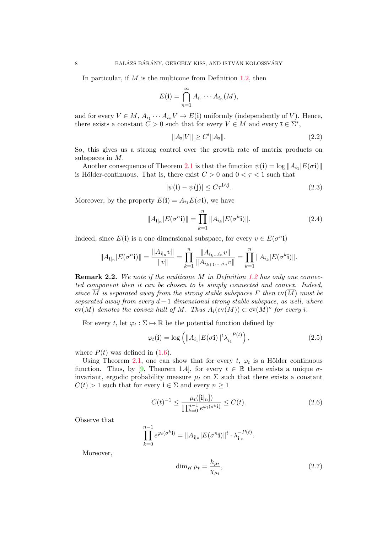In particular, if  $M$  is the multicone from Definition [1.2,](#page-3-0) then

$$
E(\mathbf{i}) = \bigcap_{n=1}^{\infty} A_{i_1} \cdots A_{i_n}(M),
$$

and for every  $V \in M$ ,  $A_{i_1} \cdots A_{i_n} V \to E(\mathbf{i})$  uniformly (independently of V). Hence, there exists a constant  $\tilde{C} > 0$  such that for every  $V \in M$  and every  $\bar{\imath} \in \Sigma^*$ ,

<span id="page-7-4"></span>
$$
||A_{\bar{\imath}}|V|| \ge C'||A_{\bar{\imath}}||. \tag{2.2}
$$

So, this gives us a strong control over the growth rate of matrix products on subspaces in M.

Another consequence of Theorem [2.1](#page-6-0) is that the function  $\psi(\mathbf{i}) = \log ||A_{i_1}| E(\sigma \mathbf{i})||$ is Hölder-continuous. That is, there exist  $C > 0$  and  $0 < \tau < 1$  such that

<span id="page-7-1"></span>
$$
|\psi(\mathbf{i}) - \psi(\mathbf{j})| \le C\tau^{\mathbf{i}\wedge \mathbf{j}}.\tag{2.3}
$$

Moreover, by the property  $E(i) = A_{i_1} E(\sigma i)$ , we have

<span id="page-7-5"></span>
$$
||A_{\mathbf{i}|_n} |E(\sigma^n \mathbf{i})|| = \prod_{k=1}^n ||A_{i_k}| E(\sigma^k \mathbf{i})||. \tag{2.4}
$$

Indeed, since  $E(i)$  is a one dimensional subspace, for every  $v \in E(\sigma^{n_i})$ 

$$
||A_{\mathbf{i}|_n}|E(\sigma^n \mathbf{i})|| = \frac{||A_{\mathbf{i}|_n}v||}{||v||} = \prod_{k=1}^n \frac{||A_{i_k...i_n}v||}{||A_{i_{k+1},...,i_n}v||} = \prod_{k=1}^n ||A_{i_k}|E(\sigma^k \mathbf{i})||.
$$

**Remark 2.2.** We note if the multicone M in Definition [1.2](#page-3-0) has only one connected component then it can be chosen to be simply connected and convex. Indeed, since  $\overline{M}$  is separated away from the strong stable subspaces F then  $\text{cv}(\overline{M})$  must be separated away from every  $d-1$  dimensional strong stable subspace, as well, where  $\text{cv}(\overline{M})$  denotes the convex hull of  $\overline{M}.$  Thus  $A_i(\text{cv}(\overline{M}))\subset \text{cv}(\overline{M})^o$  for every  $i.$ 

For every t, let  $\varphi_t : \Sigma \mapsto \mathbb{R}$  be the potential function defined by

<span id="page-7-2"></span>
$$
\varphi_t(\mathbf{i}) = \log \left( \|A_{i_1}| E(\sigma \mathbf{i})\|^t \lambda_{i_1}^{-P(t)} \right), \tag{2.5}
$$

where  $P(t)$  was defined in  $(1.6)$ .

Using Theorem [2.1,](#page-6-0) one can show that for every t,  $\varphi_t$  is a Hölder continuous function. Thus, by [\[9,](#page-25-22) Theorem 1.4], for every  $t \in \mathbb{R}$  there exists a unique  $\sigma$ invariant, ergodic probability measure  $\mu_t$  on  $\Sigma$  such that there exists a constant  $C(t) > 1$  such that for every  $\mathbf{i} \in \Sigma$  and every  $n \geq 1$ 

<span id="page-7-0"></span>
$$
C(t)^{-1} \le \frac{\mu_t([i|_n])}{\prod_{k=0}^{n-1} e^{\varphi_t(\sigma^k i)}} \le C(t). \tag{2.6}
$$

Observe that

$$
\prod_{k=0}^{n-1} e^{\varphi_t(\sigma^k \mathbf{i})} = \|A_{\mathbf{i}|_n} |E(\sigma^n \mathbf{i})|^{t} \cdot \lambda_{\mathbf{i}|_n}^{-P(t)}.
$$

Moreover,

<span id="page-7-3"></span>
$$
\dim_H \mu_t = \frac{h_{\mu_t}}{\chi_{\mu_t}},\tag{2.7}
$$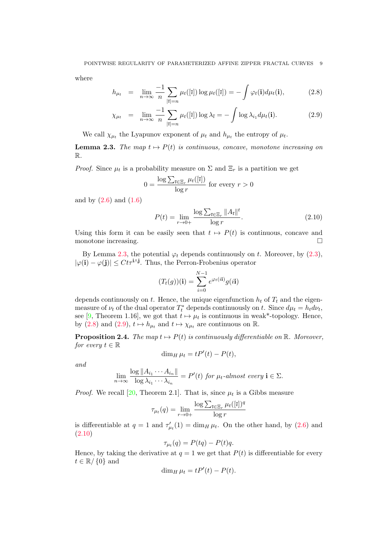where

<span id="page-8-1"></span>
$$
h_{\mu_t} = \lim_{n \to \infty} \frac{-1}{n} \sum_{|\overline{\imath}| = n} \mu_t([\overline{\imath}]) \log \mu_t([\overline{\imath}]) = -\int \varphi_t(\mathbf{i}) d\mu_t(\mathbf{i}), \tag{2.8}
$$

$$
\chi_{\mu_t} = \lim_{n \to \infty} \frac{-1}{n} \sum_{|\overline{\imath}| = n} \mu_t([\overline{\imath}]) \log \lambda_{\overline{\imath}} = - \int \log \lambda_{i_1} d\mu_t(\mathbf{i}). \tag{2.9}
$$

We call  $\chi_{\mu}$  the Lyapunov exponent of  $\mu_t$  and  $h_{\mu}$  the entropy of  $\mu_t$ .

<span id="page-8-0"></span>**Lemma 2.3.** The map  $t \mapsto P(t)$  is continuous, concave, monotone increasing on R.

*Proof.* Since  $\mu_t$  is a probability measure on  $\Sigma$  and  $\Xi_r$  is a partition we get

$$
0 = \frac{\log \sum_{\bar{\imath} \in \Xi_r} \mu_t([\bar{\imath}])}{\log r} \text{ for every } r > 0
$$

and by  $(2.6)$  and  $(1.6)$ 

<span id="page-8-2"></span>
$$
P(t) = \lim_{r \to 0+} \frac{\log \sum_{\bar{\imath} \in \Xi_r} ||A_{\bar{\imath}}||^t}{\log r}.
$$
\n(2.10)

Using this form it can be easily seen that  $t \mapsto P(t)$  is continuous, concave and monotone increasing.

By Lemma [2.3,](#page-8-0) the potential  $\varphi_t$  depends continuously on t. Moreover, by [\(2.3\)](#page-7-1),  $|\varphi(i) - \varphi(j)| \leq Ct\tau^{i\wedge j}$ . Thus, the Perron-Frobenius operator

$$
(T_t(g))(\mathbf{i}) = \sum_{i=0}^{N-1} e^{\varphi_t(i\mathbf{i})} g(i\mathbf{i})
$$

depends continuously on t. Hence, the unique eigenfunction  $h_t$  of  $T_t$  and the eigenmeasure of  $\nu_t$  of the dual operator  $T_t^*$  depends continuously on t. Since  $d\mu_t = h_t d\nu_t$ , see [\[9,](#page-25-22) Theorem 1.16], we got that  $t \mapsto \mu_t$  is continuous in weak\*-topology. Hence, by [\(2.8\)](#page-8-1) and [\(2.9\)](#page-8-1),  $t \mapsto h_{\mu_t}$  and  $t \mapsto \chi_{\mu_t}$  are continuous on R.

<span id="page-8-3"></span>**Proposition 2.4.** The map  $t \mapsto P(t)$  is continuously differentiable on R. Moreover, for every  $t \in \mathbb{R}$ 

$$
\dim_H \mu_t = tP'(t) - P(t),
$$

and

$$
\lim_{n \to \infty} \frac{\log ||A_{i_1} \cdots A_{i_n}||}{\log \lambda_{i_1} \cdots \lambda_{i_n}} = P'(t) \text{ for } \mu_t\text{-almost every } \mathbf{i} \in \Sigma.
$$

*Proof.* We recall [\[20,](#page-25-23) Theorem 2.1]. That is, since  $\mu_t$  is a Gibbs measure

$$
\tau_{\mu_t}(q) = \lim_{r \to 0+} \frac{\log \sum_{\bar{\imath} \in \Xi_r} \mu_t([\bar{\imath}])^q}{\log r}
$$

is differentiable at  $q = 1$  and  $\tau'_{\mu_t}(1) = \dim_H \mu_t$ . On the other hand, by [\(2.6\)](#page-7-0) and [\(2.10\)](#page-8-2)

$$
\tau_{\mu_t}(q) = P(tq) - P(t)q.
$$

Hence, by taking the derivative at  $q = 1$  we get that  $P(t)$  is differentiable for every  $t \in \mathbb{R}/\{0\}$  and

$$
\dim_H \mu_t = tP'(t) - P(t).
$$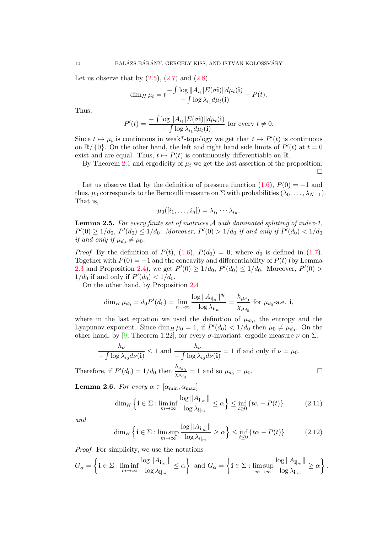Let us observe that by  $(2.5)$ ,  $(2.7)$  and  $(2.8)$ 

$$
\dim_H \mu_t = t \frac{-\int \log ||A_{i_1}| E(\sigma \mathbf{i})|| d\mu_t(\mathbf{i})}{-\int \log \lambda_{i_1} d\mu_t(\mathbf{i})} - P(t).
$$

Thus,

$$
P'(t) = \frac{-\int \log ||A_{i_1}| E(\sigma \mathbf{i})|| d\mu_t(\mathbf{i})}{-\int \log \lambda_{i_1} d\mu_t(\mathbf{i})} \text{ for every } t \neq 0.
$$

Since  $t \mapsto \mu_t$  is continuous in weak\*-topology we get that  $t \mapsto P'(t)$  is continuous on  $\mathbb{R}/\{0\}$ . On the other hand, the left and right hand side limits of  $P'(t)$  at  $t=0$ exist and are equal. Thus,  $t \mapsto P(t)$  is continuously differentiable on R.

By Theorem [2.1](#page-6-0) and ergodicity of  $\mu_t$  we get the last assertion of the proposition.  $\Box$ 

Let us observe that by the definition of pressure function  $(1.6)$ ,  $P(0) = -1$  and thus,  $\mu_0$  corresponds to the Bernoulli measure on  $\Sigma$  with probabilities  $(\lambda_0, \ldots, \lambda_{N-1})$ . That is,

$$
\mu_0([i_1,\ldots,i_n])=\lambda_{i_1}\cdots\lambda_{i_n}.
$$

<span id="page-9-2"></span>Lemma 2.5. For every finite set of matrices A with dominated splitting of index-1,  $P'(0) \ge 1/d_0$ ,  $P'(d_0) \le 1/d_0$ . Moreover,  $P'(0) > 1/d_0$  if and only if  $P'(d_0) < 1/d_0$ if and only if  $\mu_{d_0} \neq \mu_0$ .

*Proof.* By the definition of  $P(t)$ ,  $(1.6)$ ,  $P(d_0) = 0$ , where  $d_0$  is defined in [\(1.7\)](#page-4-4). Together with  $P(0) = -1$  and the concavity and differentiability of  $P(t)$  (by Lemma [2.3](#page-8-0) and Proposition [2.4\)](#page-8-3), we get  $P'(0) \ge 1/d_0$ ,  $P'(d_0) \le 1/d_0$ . Moreover,  $P'(0) >$  $1/d_0$  if and only if  $P'(d_0) < 1/d_0$ .

On the other hand, by Proposition [2.4](#page-8-3)

$$
\dim_H \mu_{d_0} = d_0 P'(d_0) = \lim_{n \to \infty} \frac{\log ||A_{\mathbf{i}|_n}||^{d_0}}{\log \lambda_{\mathbf{i}|_n}} = \frac{h_{\mu_{d_0}}}{\chi_{\mu_{d_0}}}
$$
 for  $\mu_{d_0}$ -a.e. **i**,

where in the last equation we used the definition of  $\mu_{d_0}$ , the entropy and the Lyapunov exponent. Since  $\dim_H \mu_0 = 1$ , if  $P'(d_0) < 1/d_0$  then  $\mu_0 \neq \mu_{d_0}$ . On the other hand, by [\[9,](#page-25-22) Theorem 1.22], for every  $\sigma$ -invariant, ergodic measure  $\nu$  on  $\Sigma$ ,

$$
\frac{h_{\nu}}{-\int \log \lambda_{i_0} d\nu(\mathbf{i})} \le 1 \text{ and } \frac{h_{\nu}}{-\int \log \lambda_{i_0} d\nu(\mathbf{i})} = 1 \text{ if and only if } \nu = \mu_0.
$$

Therefore, if  $P'(d_0) = 1/d_0$  then  $\frac{h_{\mu_{d_0}}}{\chi_{d_0}}$  $\frac{n_{\mu_{d_0}}}{\chi_{\mu_{d_0}}} = 1$  and so  $\mu_{d_0} = \mu_0$ .

<span id="page-9-3"></span>Lemma 2.6. For every  $\alpha \in [\alpha_{\min}, \alpha_{\max}]$ 

<span id="page-9-0"></span>
$$
\dim_H \left\{ \mathbf{i} \in \Sigma : \liminf_{m \to \infty} \frac{\log ||A_{\mathbf{i}|_m}||}{\log \lambda_{\mathbf{i}|_m}} \le \alpha \right\} \le \inf_{t \ge 0} \left\{ t\alpha - P(t) \right\} \tag{2.11}
$$

and

<span id="page-9-1"></span>
$$
\dim_H \left\{ \mathbf{i} \in \Sigma : \limsup_{m \to \infty} \frac{\log ||A_{\mathbf{i}|_m}||}{\log \lambda_{\mathbf{i}|_m}} \ge \alpha \right\} \le \inf_{t \le 0} \left\{ t\alpha - P(t) \right\} \tag{2.12}
$$

Proof. For simplicity, we use the notations

$$
\underline{G}_{\alpha} = \left\{ \mathbf{i} \in \Sigma : \liminf_{m \to \infty} \frac{\log ||A_{\mathbf{i}|_m}||}{\log \lambda_{\mathbf{i}|_m}} \le \alpha \right\} \text{ and } \overline{G}_{\alpha} = \left\{ \mathbf{i} \in \Sigma : \limsup_{m \to \infty} \frac{\log ||A_{\mathbf{i}|_m}||}{\log \lambda_{\mathbf{i}|_m}} \ge \alpha \right\}.
$$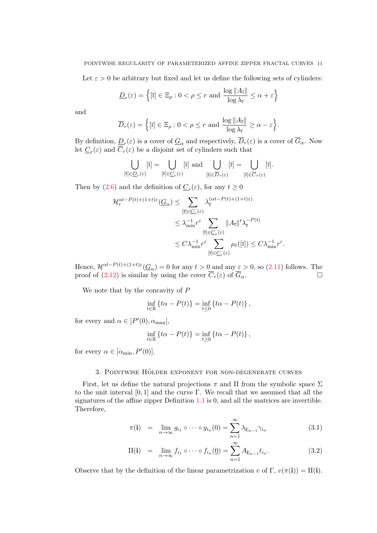Let  $\varepsilon > 0$  be arbitrary but fixed and let us define the following sets of cylinders:

$$
\underline{D}_r(\varepsilon) = \left\{ [\overline{\imath}] \in \Xi_\rho : 0 < \rho \le r \text{ and } \frac{\log ||A_{\overline{\imath}}||}{\log \lambda_{\overline{\imath}}} \le \alpha + \varepsilon \right\}
$$

and

$$
\overline{D}_r(\varepsilon) = \Big\{ [\overline{\imath}] \in \Xi_\rho : 0 < \rho \le r \text{ and } \frac{\log ||A_{\overline{\imath}}||}{\log \lambda_{\overline{\imath}}} \ge \alpha - \varepsilon \Big\}.
$$

By definition,  $\underline{D}_r(\varepsilon)$  is a cover of  $\underline{G}_{\alpha}$  and respectively,  $D_r(\varepsilon)$  is a cover of  $G_{\alpha}$ . Now let  $\underline{C}_r(\varepsilon)$  and  $C_r(\varepsilon)$  be a disjoint set of cylinders such that

$$
\bigcup_{[\overline{\imath}]\in \underline{D}_r(\varepsilon)} [\overline{\imath}] = \bigcup_{[\overline{\imath}]\in \underline{C}_r(\varepsilon)} [\overline{\imath}] \text{ and } \bigcup_{[\overline{\imath}]\in \overline{D}_r(\varepsilon)} [\overline{\imath}] = \bigcup_{[\overline{\imath}]\in \overline{C}_r(\varepsilon)} [\overline{\imath}].
$$

Then by [\(2.6\)](#page-7-0) and the definition of  $\underline{C}_r(\varepsilon)$ , for any  $t \geq 0$ 

$$
\mathcal{H}_r^{\alpha t - P(t) + (1+t)\varepsilon}(\underline{G}_{\alpha}) \leq \sum_{\substack{[\overline{i}] \in \underline{C}_r(\varepsilon) \\ [\overline{i}] \in \underline{C}_r(\varepsilon)}} \lambda_i^{(\alpha t - P(t) + (1+t)\varepsilon)} \\ \leq \lambda_{\min}^{-1} r^{\varepsilon} \sum_{\substack{[\overline{i}] \in \underline{C}_r(\varepsilon) \\ [\overline{i}] \in \underline{C}_r(\varepsilon)}} ||A_{\overline{i}}||^t \lambda_i^{-P(t)} \\ \leq C\lambda_{\min}^{-1} r^{\varepsilon} \sum_{\substack{[\overline{i}] \in \underline{C}_r(\varepsilon)}} \mu_t([\overline{i}]) \leq C\lambda_{\min}^{-1} r^{\varepsilon}.
$$

Hence,  $\mathcal{H}^{\alpha t-P(t)+(1+t)\varepsilon}(\underline{G}_{\alpha})=0$  for any  $t>0$  and any  $\varepsilon>0$ , so  $(2.11)$  follows. The proof of [\(2.12\)](#page-9-1) is similar by using the cover  $\overline{C}_r(\varepsilon)$  of  $\overline{G}_{\alpha}$ .

We note that by the concavity of P

$$
\inf_{t\in\mathbb{R}} \left\{ t\alpha - P(t) \right\} = \inf_{t\leq 0} \left\{ t\alpha - P(t) \right\},\,
$$

for every and  $\alpha \in [P'(0), \alpha_{\text{max}}],$ 

$$
\inf_{t \in \mathbb{R}} \left\{ t\alpha - P(t) \right\} = \inf_{t \ge 0} \left\{ t\alpha - P(t) \right\},\,
$$

for every  $\alpha \in [\alpha_{\min}, P'(0)].$ 

## 3. POINTWISE HÖLDER EXPONENT FOR NON-DEGENERATE CURVES

<span id="page-10-0"></span>First, let us define the natural projections  $\pi$  and  $\Pi$  from the symbolic space  $\Sigma$ to the unit interval  $[0, 1]$  and the curve Γ. We recall that we assumed that all the signatures of the affine zipper Definition [1.1](#page-0-0) is 0, and all the matrices are invertible. Therefore,

$$
\pi(\mathbf{i}) = \lim_{n \to \infty} g_{i_1} \circ \cdots \circ g_{i_n}(0) = \sum_{n=1}^{\infty} \lambda_{\mathbf{i}|_{n-1}} \gamma_{i_n}
$$
\n(3.1)

$$
\Pi(\mathbf{i}) = \lim_{n \to \infty} f_{i_1} \circ \cdots \circ f_{i_n}(\underline{0}) = \sum_{n=1}^{\infty} A_{\mathbf{i}|_{n-1}} t_{i_n}.
$$
\n(3.2)

Observe that by the definition of the linear parametrization v of  $\Gamma$ ,  $v(\pi(i)) = \Pi(i)$ .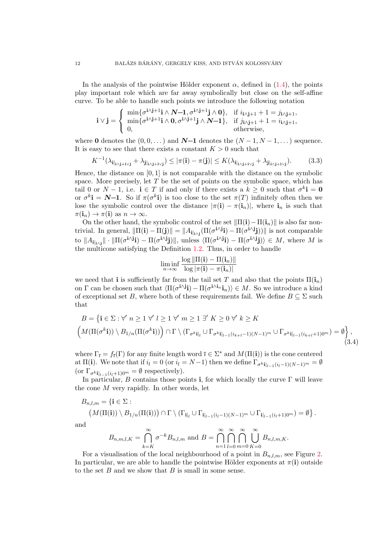In the analysis of the pointwise Hölder exponent  $\alpha$ , defined in [\(1.4\)](#page-2-1), the points play important role which are far away symbolically but close on the self-affine curve. To be able to handle such points we introduce the following notation

$$
\mathbf{i} \vee \mathbf{j} = \begin{cases} \min\{\sigma^{i \wedge j+1} \mathbf{i} \wedge \mathbf{N-1}, \sigma^{i \wedge j+1} \mathbf{j} \wedge \mathbf{0}\}, & \text{if } i_{i \wedge j+1} + 1 = j_{i \wedge j+1}, \\ \min\{\sigma^{i \wedge j+1} \mathbf{i} \wedge \mathbf{0}, \sigma^{i \wedge j+1} \mathbf{j} \wedge \mathbf{N-1}\}, & \text{if } j_{i \wedge j+1} + 1 = i_{i \wedge j+1}, \\ 0, & \text{otherwise}, \end{cases}
$$

where 0 denotes the  $(0, 0, \ldots)$  and  $N-1$  denotes the  $(N-1, N-1, \ldots)$  sequence. It is easy to see that there exists a constant  $K > 0$  such that

<span id="page-11-0"></span>
$$
K^{-1}(\lambda_{\mathbf{i}|_{i\wedge\mathbf{j}+i\vee\mathbf{j}}}+\lambda_{\mathbf{j}|_{i\wedge\mathbf{j}+i\vee\mathbf{j}}})\leq |\pi(\mathbf{i})-\pi(\mathbf{j})|\leq K(\lambda_{\mathbf{i}|_{i\wedge\mathbf{j}+i\vee\mathbf{j}}}+\lambda_{\mathbf{j}|_{i\wedge\mathbf{j}+i\vee\mathbf{j}}}).\tag{3.3}
$$

Hence, the distance on  $[0, 1]$  is not comparable with the distance on the symbolic space. More precisely, let  $T$  be the set of points on the symbolic space, which has tail 0 or  $N-1$ , i.e.  $\mathbf{i} \in T$  if and only if there exists a  $k \geq 0$  such that  $\sigma^k \mathbf{i} = \mathbf{0}$ or  $\sigma^k$ **i** = **N**-1. So if  $\pi(\sigma^k$ **i**) is too close to the set  $\pi(T)$  infinitely often then we lose the symbolic control over the distance  $|\pi(i) - \pi(i_n)|$ , where  $i_n$  is such that  $\pi(i_n) \to \pi(i)$  as  $n \to \infty$ .

On the other hand, the symbolic control of the set  $\|\Pi(i)-\Pi(i_n)\|\$  is also far nontrivial. In general,  $\|\Pi(i) - \Pi(j)\| = \|A_{i_{i} \mid i \wedge j} (\Pi(\sigma^{i} \wedge i j) - \Pi(\sigma^{i} \wedge j j))\|$  is not comparable to  $||A_{\mathbf{i}|_{i\wedge j}}||\cdot||\Pi(\sigma^{\mathbf{i}\wedge \mathbf{j}}\mathbf{i}) - \Pi(\sigma^{\mathbf{i}\wedge \mathbf{j}}\mathbf{j})||$ , unless  $\langle\Pi(\sigma^{\mathbf{i}\wedge \mathbf{j}}\mathbf{i}) - \Pi(\sigma^{\mathbf{i}\wedge \mathbf{j}}\mathbf{j})\rangle \in M$ , where M is the multicone satisfying the Definition [1.2.](#page-3-0) Thus, in order to handle

<span id="page-11-1"></span>
$$
\liminf_{n\to\infty}\frac{\log\|\Pi(\mathbf{i})-\Pi(\mathbf{i}_n)\|}{\log|\pi(\mathbf{i})-\pi(\mathbf{i}_n)|}
$$

we need that i is sufficiently far from the tail set T and also that the points  $\Pi(i_n)$ on  $\Gamma$  can be chosen such that  $\langle \Pi(\sigma^{i\wedge j}i) - \Pi(\sigma^{i\wedge i}i\eta) \rangle \in M$ . So we introduce a kind of exceptional set B, where both of these requirements fail. We define  $B \subseteq \Sigma$  such that

$$
B = \left\{ \mathbf{i} \in \Sigma : \forall' n \ge 1 \ \forall' l \ge 1 \ \forall' m \ge 1 \ \exists' K \ge 0 \ \forall' k \ge K
$$
  

$$
\left( M(\Pi(\sigma^k \mathbf{i})) \setminus B_{1/n}(\Pi(\sigma^k \mathbf{i})) \right) \cap \Gamma \setminus (\Gamma_{\sigma^k \mathbf{i}|_l} \cup \Gamma_{\sigma^k \mathbf{i}|_{l-1}(i_{k+l}-1)(N-1)^m} \cup \Gamma_{\sigma^k \mathbf{i}|_{l-1}(i_{k+l}+1)0^m} ) = \emptyset \right\},\tag{3.4}
$$

where  $\Gamma_{\bar{i}} = f_{\bar{i}}(\Gamma)$  for any finite length word  $\bar{i} \in \Sigma^*$  and  $M(\Pi(i))$  is the cone centered at  $\Pi(i)$ . We note that if  $i_l = 0$  (or  $i_l = N-1$ ) then we define  $\Gamma_{\sigma^{k}i|_{l-1}(i_l-1)(N-1)^m} = \emptyset$ (or  $\Gamma_{\sigma^{k}i|_{l-1}(i_{l}+1)0^{m}} = \emptyset$  respectively).

In particular, B contains those points i, for which locally the curve  $\Gamma$  will leave the cone  $M$  very rapidly. In other words, let

$$
B_{n,l,m} = \{ \mathbf{i} \in \Sigma : (M(\Pi(\mathbf{i})) \setminus B_{1/n}(\Pi(\mathbf{i})) \cap \Gamma \setminus (\Gamma_{\mathbf{i}|_l} \cup \Gamma_{\mathbf{i}|_{l-1}(i_l-1)(N-1)^m} \cup \Gamma_{\mathbf{i}|_{l-1}(i_l+1)0^m}) = \emptyset \}.
$$
  
and

 $\mathbf{a}$ 

$$
B_{n,m,l,K} = \bigcap_{k=K}^{\infty} \sigma^{-k} B_{n,l,m} \text{ and } B = \bigcap_{n=1}^{\infty} \bigcap_{l=0}^{\infty} \bigcap_{m=0}^{\infty} \bigcup_{K=0}^{\infty} B_{n,l,m,K}.
$$

For a visualisation of the local neighbourhood of a point in  $B_{n,l,m}$ , see Figure [2.](#page-12-0) In particular, we are able to handle the pointwise Hölder exponents at  $\pi(i)$  outside to the set  $B$  and we show that  $B$  is small in some sense.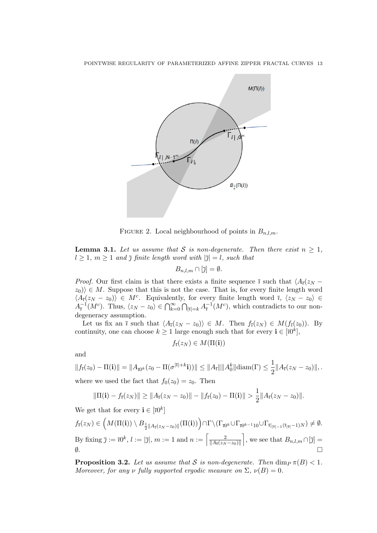

<span id="page-12-0"></span>FIGURE 2. Local neighbourhood of points in  $B_{n,l,m}$ .

<span id="page-12-1"></span>**Lemma 3.1.** Let us assume that S is non-degenerate. Then there exist  $n \geq 1$ ,  $l \geq 1$ ,  $m \geq 1$  and  $\overline{\jmath}$  finite length word with  $|\overline{\jmath}| = l$ , such that

$$
B_{n,l,m}\cap [\overline{\jmath}]=\emptyset.
$$

*Proof.* Our first claim is that there exists a finite sequence  $\bar{i}$  such that  $\langle A_{\bar{i}}(z_N - A_{\bar{i}}) A_{\bar{i}}(z_N - A_{\bar{i}}) A_{\bar{i}}(z_N - A_{\bar{i}}) A_{\bar{i}}(z_N - A_{\bar{i}}) A_{\bar{i}}(z_N - A_{\bar{i}}) A_{\bar{i}}(z_N - A_{\bar{i}}) A_{\bar{i}}(z_N - A_{\bar{i}}) A_{\bar{i}}(z_N - A_{\bar{i}}) A$  $|z_0\rangle \in M$ . Suppose that this is not the case. That is, for every finite length word  $\langle A_{\bar{i}}(z_N - z_0) \rangle \in M^c$ . Equivalently, for every finite length word  $\bar{i}$ ,  $\langle z_N - z_0 \rangle \in$  $A_{\bar{i}}^{-1}(M^c)$ . Thus,  $\langle z_N - z_0 \rangle \in \bigcap_{k=0}^{\infty} \bigcap_{|\bar{i}|=k} A_{\bar{i}}^{-1}(M^c)$ , which contradicts to our nondegeneracy assumption.

Let us fix an  $\bar{\imath}$  such that  $\langle A_{\bar{\imath}}(z_N - z_0) \rangle \in M$ . Then  $f_{\bar{\imath}}(z_N) \in M(f_{\bar{\imath}}(z_0))$ . By continuity, one can choose  $k \geq 1$  large enough such that for every  $\mathbf{i} \in [\bar{\imath}0^k],$ 

$$
f_{\bar{\imath}}(z_N) \in M(\Pi({\bf i}))
$$

and

$$
||f_{\bar{\imath}}(z_0) - \Pi(\mathbf{i})|| = ||A_{\bar{\imath}0^k}(z_0 - \Pi(\sigma^{|\bar{\imath}|+k}\mathbf{i}))|| \le ||A_{\bar{\imath}}|| ||A_0^k|| \operatorname{diam}(\Gamma) \le \frac{1}{2} ||A_{\bar{\imath}}(z_N - z_0)||,
$$
  
where we used the fact that  $f_0(z_0) = z_0$ . Then

$$
\|\Pi(\mathbf{i}) - f_{\bar{\imath}}(z_N)\| \ge \|A_{\bar{\imath}}(z_N - z_0)\| - \|f_{\bar{\imath}}(z_0) - \Pi(\mathbf{i})\| > \frac{1}{2} \|A_{\bar{\imath}}(z_N - z_0)\|.
$$

We get that for every  $\mathbf{i} \in [\overline{\imath}0^k]$ 

$$
f_{\overline{\imath}}(z_N) \in \left( M(\Pi(\mathbf{i})) \setminus B_{\frac{1}{2}||A_{\overline{\imath}}(z_N - z_0)||}(\Pi(\mathbf{i})) \right) \cap \Gamma \setminus (\Gamma_{\overline{\imath}0^k} \cup \Gamma_{\overline{\imath}0^{k-1}10} \cup \Gamma_{\overline{\imath}|_{|\overline{\imath}|-1}(\overline{\imath}|_{|\overline{\imath}|}-1)N}) \neq \emptyset.
$$
  
By fixing  $\overline{\jmath} := \overline{\imath}0^k$ ,  $l := |\overline{\jmath}|$ ,  $m := 1$  and  $n := \left\lceil \frac{2}{||A_{\overline{\imath}}(z_N - z_0)||} \right\rceil$ , we see that  $B_{n,l,m} \cap [\overline{\jmath}] = \emptyset$ .

<span id="page-12-2"></span>**Proposition 3.2.** Let us assume that S is non-degenerate. Then  $\dim_P \pi(B) < 1$ . Moreover, for any  $\nu$  fully supported ergodic measure on  $\Sigma$ ,  $\nu(B) = 0$ .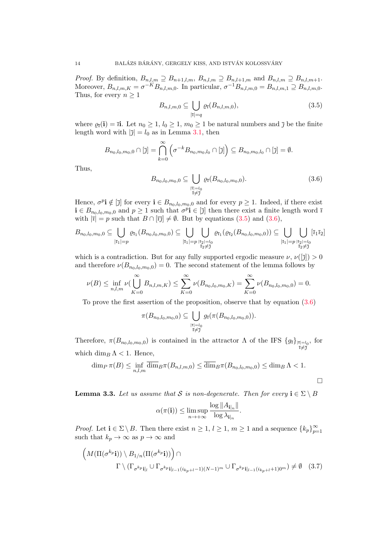*Proof.* By definition,  $B_{n,l,m} \supseteq B_{n+1,l,m}$ ,  $B_{n,l,m} \supseteq B_{n,l+1,m}$  and  $B_{n,l,m} \supseteq B_{n,l,m+1}$ . Moreover,  $B_{n,l,m,K} = \sigma^{-K} B_{n,l,m,0}$ . In particular,  $\sigma^{-1} B_{n,l,m,0} = B_{n,l,m,1} \supseteq B_{n,l,m,0}$ . Thus, for every  $n \geq 1$ 

<span id="page-13-0"></span>
$$
B_{n,l,m,0} \subseteq \bigcup_{|\overline{\imath}|=q} \varrho_{\overline{\imath}}(B_{n,l,m,0}),\tag{3.5}
$$

where  $\varrho_{\bar{i}}(i) = \bar{i}i$ . Let  $n_0 \geq 1, l_0 \geq 1, m_0 \geq 1$  be natural numbers and  $\bar{j}$  be the finite length word with  $|\bar{\jmath}| = l_0$  as in Lemma [3.1,](#page-12-1) then

$$
B_{n_0,l_0,m_0,0} \cap [\bar{\jmath}] = \bigcap_{k=0}^{\infty} \left( \sigma^{-k} B_{n_0,m_0,l_0} \cap [\bar{\jmath}] \right) \subseteq B_{n_0,m_0,l_0} \cap [\bar{\jmath}] = \emptyset.
$$

Thus,

<span id="page-13-1"></span>
$$
B_{n_0, l_0, m_0, 0} \subseteq \bigcup_{\substack{|\overline{\imath}| = l_0 \\ \overline{\imath} \neq \overline{\jmath}}} \varrho_{\overline{\imath}}(B_{n_0, l_0, m_0, 0}). \tag{3.6}
$$

Hence,  $\sigma^p$ **i**  $\notin$   $[\bar{\jmath}]$  for every  $\mathbf{i} \in B_{n_0,l_0,m_0,0}$  and for every  $p \geq 1$ . Indeed, if there exist  $\mathbf{i} \in B_{n_0,l_0,m_0,0}$  and  $p \geq 1$  such that  $\sigma^p \mathbf{i} \in [\bar{\jmath}]$  then there exist a finite length word  $\bar{\imath}$ with  $|\overline{\imath}| = p$  such that  $B \cap [\overline{\imath}\overline{\jmath}] \neq \emptyset$ . But by equations [\(3.5\)](#page-13-0) and [\(3.6\)](#page-13-1),

$$
B_{n_0, l_0, m_0, 0} \subseteq \bigcup_{|\overline{\imath}_1| = p} \varrho_{\overline{\imath}_1}(B_{n_0, l_0, m_0, 0}) \subseteq \bigcup_{|\overline{\imath}_1| = p} \bigcup_{\substack{|\overline{\imath}_2| = l_0 \\ \overline{\imath}_2 \neq \overline{j}}} \varrho_{\overline{\imath}_1}(\varrho_{\overline{\imath}_2}(B_{n_0, l_0, m_0, 0})) \subseteq \bigcup_{|\overline{\imath}_1| = p} \bigcup_{\substack{|\overline{\imath}_2| = l_0 \\ \overline{\imath}_2 \neq \overline{j}}} [\overline{\imath}_1 \overline{\imath}_2]
$$

which is a contradiction. But for any fully supported ergodic measure  $\nu, \nu([\bar{\eta}]) > 0$ and therefore  $\nu(B_{n_0,l_0,m_0,0})=0$ . The second statement of the lemma follows by

$$
\nu(B) \le \inf_{n,l,m} \nu(\bigcup_{K=0}^{\infty} B_{n,l,m,K}) \le \sum_{K=0}^{\infty} \nu(B_{n_0,l_0,m_0,K}) = \sum_{K=0}^{\infty} \nu(B_{n_0,l_0,m_0,0}) = 0.
$$

To prove the first assertion of the proposition, observe that by equation [\(3.6\)](#page-13-1)

$$
\pi(B_{n_0,l_0,m_0,0}) \subseteq \bigcup_{\substack{|\overline{\imath}| = l_0 \\ \overline{\imath} \neq \overline{\jmath}}} g_{\overline{\imath}}(\pi(B_{n_0,l_0,m_0,0})).
$$

Therefore,  $\pi(B_{n_0,l_0,m_0,0})$  is contained in the attractor  $\Lambda$  of the IFS  $\{g_{\bar{i}}\}_{\substack{|\bar{i}|=l_0 \ \bar{i}\neq\bar{j}}}$ , for which  $\dim_B \Lambda < 1$ . Hence,

$$
\dim_P \pi(B) \le \inf_{n,l,m} \overline{\dim}_B \pi(B_{n,l,m,0}) \le \overline{\dim}_B \pi(B_{n_0,l_0,m_0,0}) \le \dim_B \Lambda < 1.
$$

<span id="page-13-2"></span>**Lemma 3.3.** Let us assume that S is non-degenerate. Then for every  $\mathbf{i} \in \Sigma \setminus B$ 

$$
\alpha(\pi(\mathbf{i})) \le \limsup_{n \to +\infty} \frac{\log ||A_{\mathbf{i}|_n}||}{\log \lambda_{\mathbf{i}|_n}}.
$$

*Proof.* Let  $\mathbf{i} \in \Sigma \setminus B$ . Then there exist  $n \geq 1$ ,  $l \geq 1$ ,  $m \geq 1$  and a sequence  $\{k_p\}_{p=1}^{\infty}$  $p=1$ such that  $k_p \to \infty$  as  $p \to \infty$  and

$$
\left(M(\Pi(\sigma^{k_p}\mathbf{i}))\setminus B_{1/n}(\Pi(\sigma^{k_p}\mathbf{i}))\right)\cap \qquad \qquad \Gamma\setminus(\Gamma_{\sigma^{k_p}\mathbf{i}|_l}\cup\Gamma_{\sigma^{k_p}\mathbf{i}|_{l-1}(i_{k_p+l}-1)(N-1)^m}\cup\Gamma_{\sigma^{k_p}\mathbf{i}|_{l-1}(i_{k_p+l}+1)0^m})\neq\emptyset \quad (3.7)
$$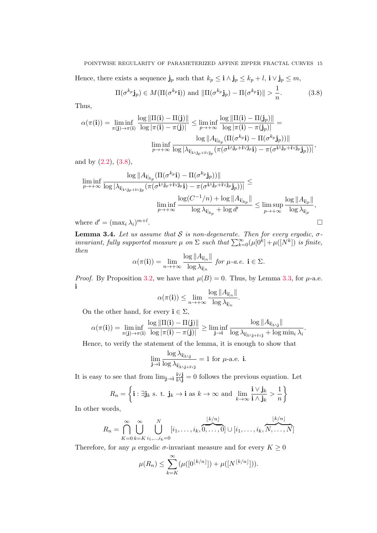Hence, there exists a sequence  $\mathbf{j}_p$  such that  $k_p \leq \mathbf{i} \wedge \mathbf{j}_p \leq k_p + l$ ,  $\mathbf{i} \vee \mathbf{j}_p \leq m$ ,

<span id="page-14-0"></span>
$$
\Pi(\sigma^{k_p} \mathbf{j}_p) \in M(\Pi(\sigma^{k_p} \mathbf{i})) \text{ and } \|\Pi(\sigma^{k_p} \mathbf{j}_p) - \Pi(\sigma^{k_p} \mathbf{i})\| > \frac{1}{n}.
$$
 (3.8)

Thus,

$$
\alpha(\pi(\mathbf{i})) = \liminf_{\pi(\mathbf{j}) \to \pi(\mathbf{i})} \frac{\log \|\Pi(\mathbf{i}) - \Pi(\mathbf{j})\|}{\log |\pi(\mathbf{i}) - \pi(\mathbf{j})|} \le \liminf_{p \to +\infty} \frac{\log \|\Pi(\mathbf{i}) - \Pi(\mathbf{j}_p)\|}{\log |\pi(\mathbf{i}) - \pi(\mathbf{j}_p)|} = \frac{\log \|A_{\mathbf{i}|_{k_p}}(\Pi(\sigma^{k_p}\mathbf{i}) - \Pi(\sigma^{k_p}\mathbf{j}_p))\|}{\log \|A_{\mathbf{i}|_{k_p}}(\Pi(\sigma^{k_p}\mathbf{i}) - \Pi(\sigma^{k_p}\mathbf{j}_p))\|} ,
$$

and by [\(2.2\)](#page-7-4), [\(3.8\)](#page-14-0),

$$
\liminf_{p \to +\infty} \frac{\log ||A_{\mathbf{i}|_{k_p}}(\Pi(\sigma^{k_p}\mathbf{i}) - \Pi(\sigma^{k_p}\mathbf{j}_p))||}{\log |\lambda_{\mathbf{i}|_{i\wedge j_p + i\vee j_p}}(\pi(\sigma^{i\wedge j_p + i\vee j_p}\mathbf{i}) - \pi(\sigma^{i\wedge j_p + i\vee j_p}\mathbf{j}_p))|} \le
$$
\n
$$
\liminf_{p \to +\infty} \frac{\log(C^{-1}/n) + \log ||A_{\mathbf{i}|_{k_p}}||}{\log \lambda_{\mathbf{i}|_{k_p}} + \log d'} \le \limsup_{p \to +\infty} \frac{\log ||A_{\mathbf{i}|_p}||}{\log \lambda_{\mathbf{i}|_p}},
$$
\nhere  $d' = (\max_i \lambda_i)^{m+l}$ .

where  $d' = (\max_i \lambda_i)$ 

<span id="page-14-1"></span>**Lemma 3.4.** Let us assume that S is non-degenerate. Then for every ergodic,  $\sigma$ invariant, fully supported measure  $\mu$  on  $\Sigma$  such that  $\sum_{k=0}^{\infty}(\mu[0^k]+\mu([N^k])$  is finite, then

$$
\alpha(\pi(\mathbf{i})) = \lim_{n \to +\infty} \frac{\log ||A_{\mathbf{i}|_n}||}{\log \lambda_{\mathbf{i}|_n}} \text{ for } \mu\text{-}a.e. \ \mathbf{i} \in \Sigma.
$$

*Proof.* By Proposition [3.2,](#page-12-2) we have that  $\mu(B) = 0$ . Thus, by Lemma [3.3,](#page-13-2) for  $\mu$ -a.e. i  $\mathbf{L}$  and  $\mathbf{L}$ 

$$
\alpha(\pi(\mathbf{i})) \leq \lim_{n \to +\infty} \frac{\log ||A_{\mathbf{i}|_n}||}{\log \lambda_{\mathbf{i}|_n}}.
$$

On the other hand, for every  $\mathbf{i} \in \Sigma$ ,

$$
\alpha(\pi(\mathbf{i})) = \liminf_{\pi(\mathbf{j}) \to \pi(\mathbf{i})} \frac{\log \|\Pi(\mathbf{i}) - \Pi(\mathbf{j})\|}{\log |\pi(\mathbf{i}) - \pi(\mathbf{j})|} \ge \liminf_{\mathbf{j} \to \mathbf{i}} \frac{\log \|A_{\mathbf{i}|_{\mathbf{i} \wedge \mathbf{j}}} \|}{\log \lambda_{\mathbf{i}|_{\mathbf{i} \wedge \mathbf{j} + \mathbf{i} \vee \mathbf{j}}} + \log \min_{i} \lambda_{i}}.
$$

Hence, to verify the statement of the lemma, it is enough to show that

$$
\lim_{\mathbf{j}\to\mathbf{i}}\frac{\log\lambda_{\mathbf{i}|_{\mathbf{i}\wedge\mathbf{j}}}}{\log\lambda_{\mathbf{i}|_{\mathbf{i}\wedge\mathbf{j}+\mathbf{i}\vee\mathbf{j}}}}=1\text{ for }\mu\text{-a.e. }\mathbf{i}.
$$

It is easy to see that from  $\lim_{j\to i} \frac{i\vee j}{i\wedge j} = 0$  follows the previous equation. Let

$$
R_n = \left\{ \mathbf{i} : \exists \mathbf{j}_k \text{ s. t. } \mathbf{j}_k \to \mathbf{i} \text{ as } k \to \infty \text{ and } \lim_{k \to \infty} \frac{\mathbf{i} \vee \mathbf{j}_k}{\mathbf{i} \wedge \mathbf{j}_k} > \frac{1}{n} \right\}
$$

In other words,

$$
R_n = \bigcap_{K=0}^{\infty} \bigcup_{k=K}^{\infty} \bigcup_{i_1,\dots,i_k=0}^{N} [i_1,\dots,i_k,\overbrace{0,\dots,0}^{[k/n]}] \cup [i_1,\dots,i_k,\overbrace{N,\dots,N}^{[k/n]}]
$$

Therefore, for any  $\mu$  ergodic  $\sigma$ -invariant measure and for every  $K \geq 0$ 

$$
\mu(R_n) \le \sum_{k=K}^{\infty} (\mu([0^{k/n}]) + \mu([N^{k/n}])).
$$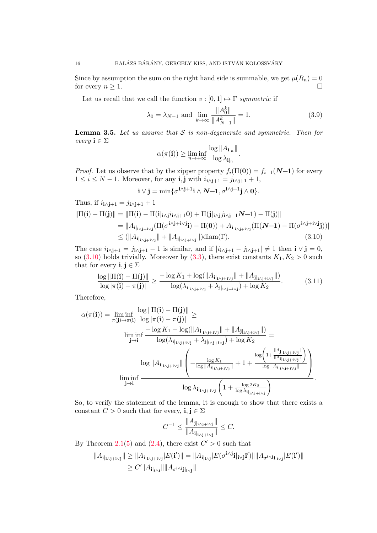Since by assumption the sum on the right hand side is summable, we get  $\mu(R_n) = 0$ for every  $n \geq 1$ .

Let us recall that we call the function  $v : [0,1] \mapsto \Gamma$   $symmetric$  if

$$
\lambda_0 = \lambda_{N-1}
$$
 and  $\lim_{k \to \infty} \frac{\|A_0^k\|}{\|A_{N-1}^k\|} = 1.$  (3.9)

<span id="page-15-1"></span>**Lemma 3.5.** Let us assume that  $S$  is non-degenerate and symmetric. Then for every  $\mathbf{i} \in \Sigma$ 

<span id="page-15-0"></span>
$$
\alpha(\pi(\mathbf{i})) \ge \liminf_{n \to +\infty} \frac{\log ||A_{\mathbf{i}|_n}||}{\log \lambda_{\mathbf{i}|_n}}.
$$

*Proof.* Let us observe that by the zipper property  $f_i(\Pi(0)) = f_{i-1}(N-1)$  for every  $1 \leq i \leq N-1$ . Moreover, for any **i**, **j** with  $i_{i \wedge j+1} = j_{i \wedge j+1} + 1$ ,

$$
\mathbf{i} \vee \mathbf{j} = \min \{ \sigma^{i \wedge j+1} \mathbf{i} \wedge \mathbf{N} - \mathbf{1}, \sigma^{i \wedge j+1} \mathbf{j} \wedge \mathbf{0} \}.
$$

Thus, if 
$$
i_{i \wedge j+1} = j_{i \wedge j+1} + 1
$$
  
\n
$$
||\Pi(i) - \Pi(j)|| = ||\Pi(i) - \Pi(i|_{i \wedge j} i_{i \wedge j+1} 0) + \Pi(j|_{i \wedge j} j_{i \wedge j+1} N - 1) - \Pi(j)||
$$
\n
$$
= ||A_{i|_{i \wedge j+i \vee j}} (\Pi(\sigma^{i \wedge j+i \vee j} i) - \Pi(0)) + A_{i|_{i \wedge j+i \vee j}} (\Pi(N-1) - \Pi(\sigma^{i \wedge j+i \vee j} j))||
$$
\n
$$
\leq (||A_{i|_{i \wedge j+i \vee j}}|| + ||A_{j|_{i \wedge j+i \vee j}}||) \text{diam}(\Gamma).
$$
\n(3.10)

The case  $i_{i \wedge j+1} = j_{i \wedge j+1} - 1$  is similar, and if  $|i_{i \wedge j+1} - j_{i \wedge j+1}| \neq 1$  then  $i \vee j = 0$ , so [\(3.10\)](#page-15-0) holds trivially. Moreover by [\(3.3\)](#page-11-0), there exist constants  $K_1, K_2 > 0$  such that for every  $\mathbf{i}, \mathbf{j} \in \Sigma$ 

$$
\frac{\log \|\Pi(\mathbf{i}) - \Pi(\mathbf{j})\|}{\log |\pi(\mathbf{i}) - \pi(\mathbf{j})|} \ge \frac{-\log K_1 + \log(\|A_{\mathbf{i}|_{\mathbf{i}\wedge\mathbf{j}+\mathbf{i}\vee\mathbf{j}}} \| + \|A_{\mathbf{j}|_{\mathbf{i}\wedge\mathbf{j}+\mathbf{i}\vee\mathbf{j}}} \|)}{\log(\lambda_{\mathbf{i}|_{\mathbf{i}\wedge\mathbf{j}+\mathbf{i}\vee\mathbf{j}}} + \lambda_{\mathbf{j}|_{\mathbf{i}\wedge\mathbf{j}+\mathbf{i}\vee\mathbf{j}}}) + \log K_2}.
$$
(3.11)

Therefore,

$$
\alpha(\pi(\mathbf{i})) = \liminf_{\pi(\mathbf{j}) \to \pi(\mathbf{i})} \frac{\log ||\Pi(\mathbf{i}) - \Pi(\mathbf{j})||}{\log |\pi(\mathbf{i}) - \pi(\mathbf{j})|} \ge
$$
\n
$$
\liminf_{\mathbf{j} \to \mathbf{i}} \frac{-\log K_1 + \log(||A_{\mathbf{i}|_{i \wedge \mathbf{j} + \mathbf{i} \vee \mathbf{j}}}|| + ||A_{\mathbf{j}|_{i \wedge \mathbf{j} + \mathbf{i} \vee \mathbf{j}}}||)}{\log (\lambda_{\mathbf{i}|_{i \wedge \mathbf{j} + \mathbf{i} \vee \mathbf{j}}} + \lambda_{\mathbf{j}|_{i \wedge \mathbf{j} + \mathbf{i} \vee \mathbf{j}}} ) + \log K_2} =
$$
\n
$$
\log ||A_{\mathbf{i}|_{i \wedge \mathbf{j} + \mathbf{i} \vee \mathbf{j}}}|| \left( -\frac{\log K_1}{\log ||A_{\mathbf{i}|_{i \wedge \mathbf{j} + \mathbf{i} \vee \mathbf{j}}} + 1 + \frac{\log \left( 1 + \frac{||A_{\mathbf{j}|_{i \wedge \mathbf{j} + \mathbf{i} \vee \mathbf{j}}}||}{\log ||A_{\mathbf{i}|_{i \wedge \mathbf{j} + \mathbf{i} \vee \mathbf{j}}}||} \right)}{\log \lambda_{\mathbf{i}|_{i \wedge \mathbf{j} + \mathbf{i} \vee \mathbf{j}}} \left( 1 + \frac{\log 2K_2}{\log \lambda_{\mathbf{i}|_{i \wedge \mathbf{j} + \mathbf{i} \vee \mathbf{j}}}} \right)}.
$$

So, to verify the statement of the lemma, it is enough to show that there exists a constant  $C > 0$  such that for every,  $\mathbf{i}, \mathbf{j} \in \Sigma$ 

$$
C^{-1} \le \frac{\|A_{\mathbf{j}\|_{\mathbf{i}\wedge \mathbf{j}+\mathbf{i}\vee \mathbf{j}}}\|}{\|A_{\mathbf{i}\|_{\mathbf{i}\wedge \mathbf{j}+\mathbf{i}\vee \mathbf{j}}}\|} \le C.
$$

By Theorem [2.1](#page-6-0)[\(5\)](#page-6-1) and [\(2.4\)](#page-7-5), there exist  $C' > 0$  such that

$$
||A_{\mathbf{i}|_{i\wedge\mathbf{j}+i\vee\mathbf{j}}}\| \ge ||A_{\mathbf{i}|_{i\wedge\mathbf{j}+i\vee\mathbf{j}}}|E(\mathbf{i}')|| = ||A_{\mathbf{i}|_{i\wedge\mathbf{j}}}|E(\sigma^{\mathbf{i}\wedge\mathbf{j}}\mathbf{i}|_{i\vee\mathbf{j}}\mathbf{i}'')|| ||A_{\sigma^{\mathbf{i}\wedge\mathbf{j}}\mathbf{i}|_{i\vee\mathbf{j}}}|E(\mathbf{i}')||
$$
  
\n
$$
\ge C'||A_{\mathbf{i}|_{i\wedge\mathbf{j}}}\| ||A_{\sigma^{\mathbf{i}\wedge\mathbf{j}}\mathbf{j}|_{i\vee\mathbf{j}}}\|
$$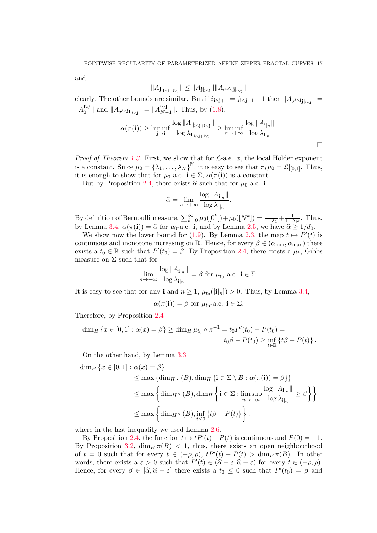and

$$
||A_{\mathbf{j}|_{\mathbf{i}\wedge\mathbf{j}+\mathbf{i}\vee\mathbf{j}}}\| \leq ||A_{\mathbf{j}|_{\mathbf{i}\wedge\mathbf{j}}}\| ||A_{\sigma^{\mathbf{i}\wedge\mathbf{j}}\mathbf{j}|_{\mathbf{i}\vee\mathbf{j}}}\|
$$

clearly. The other bounds are similar. But if  $i_{i \wedge j+1} = j_{i \wedge j+1} + 1$  then  $||A_{\sigma^{i \wedge j} j}|_{i \vee j}|| =$  $||A_0^{\mathbf{i}\vee \mathbf{j}}$  $_0^{i \vee j}$  || and  $||A_{\sigma^{i \wedge j}i}||_{i \vee j}|| = ||A_{N}^{i \vee j}||$  $\|N-1\|$ . Thus, by  $(1.8)$ ,

$$
\alpha(\pi(\mathbf{i})) \ge \liminf_{\mathbf{j}\to\mathbf{i}}\frac{\log||A_{\mathbf{i}|_{\mathbf{i}\wedge\mathbf{j}+\mathbf{i}\vee\mathbf{j}}||}}{\log\lambda_{\mathbf{i}|_{\mathbf{i}\wedge\mathbf{j}+\mathbf{i}\vee\mathbf{j}}}} \ge \liminf_{n\to+\infty}\frac{\log||A_{\mathbf{i}|_n}||}{\log\lambda_{\mathbf{i}|_n}}.
$$

*Proof of Theorem [1.3.](#page-4-2)* First, we show that for  $\mathcal{L}$ -a.e. x, the local Hölder exponent is a constant. Since  $\mu_0 = {\lambda_1, \ldots, \lambda_N}^{\mathbb{N}},$  it is easy to see that  $\pi_*\mu_0 = \mathcal{L}|_{[0,1]}$ . Thus, it is enough to show that for  $\mu_0$ -a.e.  $\mathbf{i} \in \Sigma$ ,  $\alpha(\pi(\mathbf{i}))$  is a constant.

But by Proposition [2.4,](#page-8-3) there exists  $\hat{\alpha}$  such that for  $\mu_0$ -a.e. i

$$
\widehat{\alpha} = \lim_{n \to +\infty} \frac{\log ||A_{\mathbf{i}|_n}||}{\log \lambda_{\mathbf{i}|_n}}.
$$

By definition of Bernoulli measure,  $\sum_{k=0}^{\infty} \mu_0([0^k]) + \mu_0([N^k]) = \frac{1}{1-\lambda_1} + \frac{1}{1-\lambda_N}$ . Thus, by Lemma [3.4,](#page-14-1)  $\alpha(\pi(i)) = \hat{\alpha}$  for  $\mu_0$ -a.e. i, and by Lemma [2.5,](#page-9-2) we have  $\hat{\alpha} \ge 1/d_0$ .

We show now the lower bound for [\(1.9\)](#page-4-1). By Lemma [2.3,](#page-8-0) the map  $t \mapsto P'(t)$  is continuous and monotone increasing on R. Hence, for every  $\beta \in (\alpha_{\min}, \alpha_{\max})$  there exists a  $t_0 \in \mathbb{R}$  such that  $P'(t_0) = \beta$ . By Proposition [2.4,](#page-8-3) there exists a  $\mu_{t_0}$  Gibbs measure on  $\Sigma$  such that for

$$
\lim_{n \to +\infty} \frac{\log ||A_{\mathbf{i}|_n}||}{\log \lambda_{\mathbf{i}|_n}} = \beta \text{ for } \mu_{t_0}\text{-a.e. } \mathbf{i} \in \Sigma.
$$

It is easy to see that for any **i** and  $n \geq 1$ ,  $\mu_{t_0}([\mathbf{i}|_n]) > 0$ . Thus, by Lemma [3.4,](#page-14-1)

$$
\alpha(\pi(\mathbf{i})) = \beta
$$
 for  $\mu_{t_0}$ -a.e.  $\mathbf{i} \in \Sigma$ .

Therefore, by Proposition [2.4](#page-8-3)

$$
\dim_H \{x \in [0,1] : \alpha(x) = \beta\} \ge \dim_H \mu_{t_0} \circ \pi^{-1} = t_0 P'(t_0) - P(t_0) =
$$
  

$$
t_0 \beta - P(t_0) \ge \inf_{t \in \mathbb{R}} \{t\beta - P(t)\}.
$$

On the other hand, by Lemma [3.3](#page-13-2)

$$
\dim_H \{x \in [0,1] : \alpha(x) = \beta\}
$$
\n
$$
\leq \max \{ \dim_H \pi(B), \dim_H \{i \in \Sigma \setminus B : \alpha(\pi(i)) = \beta\} \}
$$
\n
$$
\leq \max \{ \dim_H \pi(B), \dim_H \{i \in \Sigma : \limsup_{n \to +\infty} \frac{\log ||A_{i|_n}||}{\log \lambda_{i|_n}} \geq \beta \} \}
$$
\n
$$
\leq \max \{ \dim_H \pi(B), \inf_{t \leq 0} \{t\beta - P(t)\} \},
$$

where in the last inequality we used Lemma [2.6.](#page-9-3)

By Proposition [2.4,](#page-8-3) the function  $t \mapsto tP'(t) - P(t)$  is continuous and  $P(0) = -1$ . By Proposition [3.2,](#page-12-2)  $\dim_H \pi(B) < 1$ , thus, there exists an open neighbourhood of  $t = 0$  such that for every  $t \in (-\rho, \rho), tP'(t) - P(t) > \dim_P \pi(B)$ . In other words, there exists a  $\varepsilon > 0$  such that  $P'(t) \in (\hat{\alpha} - \varepsilon, \hat{\alpha} + \varepsilon)$  for every  $t \in (-\rho, \rho)$ .<br>Hence for every  $\beta \in [\hat{\alpha}, \hat{\alpha} + \varepsilon]$  there exists a  $t_0 \leq 0$  such that  $P'(t_0) = \beta$  and Hence, for every  $\beta \in [\hat{\alpha}, \hat{\alpha} + \varepsilon]$  there exists a  $t_0 \leq 0$  such that  $P'(t_0) = \beta$  and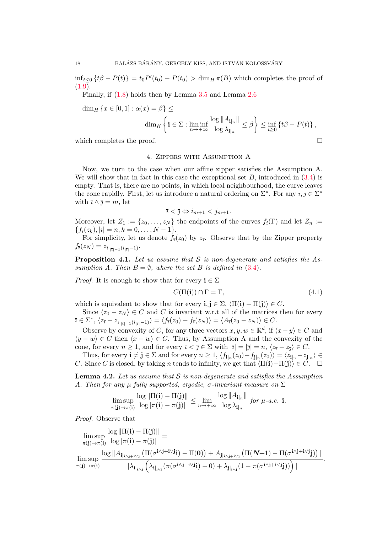$\inf_{t\leq 0} \{t\beta - P(t)\} = t_0 P'(t_0) - P(t_0) > \dim_H \pi(B)$  which completes the proof of  $(1.9).$  $(1.9).$ 

Finally, if [\(1.8\)](#page-4-0) holds then by Lemma [3.5](#page-15-1) and Lemma [2.6](#page-9-3)

$$
\dim_H \{x \in [0,1] : \alpha(x) = \beta\} \le
$$
\n
$$
\dim_H \left\{ \mathbf{i} \in \Sigma : \liminf_{n \to +\infty} \frac{\log ||A_{\mathbf{i}|_n}||}{\log \lambda_{\mathbf{i}|_n}} \le \beta \right\} \le \inf_{t \ge 0} \{t\beta - P(t)\},
$$
\nwhich completes the proof.

<span id="page-17-0"></span>

### 4. Zippers with Assumption A

Now, we turn to the case when our affine zipper satisfies the Assumption A. We will show that in fact in this case the exceptional set  $B$ , introduced in  $(3.4)$  is empty. That is, there are no points, in which local neighbourhood, the curve leaves the cone rapidly. First, let us introduce a natural ordering on  $\Sigma^*$ . For any  $\overline{i}, \overline{j} \in \Sigma^*$ with  $\bar{\imath} \wedge \bar{\jmath} = m$ , let

$$
\bar{i} < \bar{j} \Leftrightarrow i_{m+1} < j_{m+1}.
$$

Moreover, let  $Z_1 := \{z_0, \ldots, z_N\}$  the endpoints of the curves  $f_i(\Gamma)$  and let  $Z_n :=$  ${f_{\bar{i}}(z_k), |\bar{i}| = n, k = 0, \ldots, N-1}.$ 

For simplicity, let us denote  $f_{\bar{i}}(z_0)$  by  $z_{\bar{i}}$ . Observe that by the Zipper property  $f_{\bar{i}}(z_N) = z_{\bar{i}|_{|\bar{i}|-1}(i_{|\bar{i}|}-1)}.$ 

<span id="page-17-3"></span>**Proposition 4.1.** Let us assume that  $S$  is non-degenerate and satisfies the Assumption A. Then  $B = \emptyset$ , where the set B is defined in [\(3.4\)](#page-11-1).

*Proof.* It is enough to show that for every  $\mathbf{i} \in \Sigma$ 

<span id="page-17-1"></span>
$$
C(\Pi(\mathbf{i})) \cap \Gamma = \Gamma,\tag{4.1}
$$

which is equivalent to show that for every  $\mathbf{i}, \mathbf{j} \in \Sigma$ ,  $\langle \Pi(\mathbf{i}) - \Pi(\mathbf{j}) \rangle \in C$ .

Since  $\langle z_0 - z_N \rangle \in C$  and C is invariant w.r.t all of the matrices then for every  $\bar{i} \in \Sigma^*, \ \langle z_{\bar{i}} - z_{\bar{i}|_{|\bar{i}|-1}(i_{|\bar{i}|}-1)} \rangle = \langle f_{\bar{i}}(z_0) - f_{\bar{i}}(z_N) \rangle = \langle A_{\bar{i}}(z_0 - z_N) \rangle \in C.$ 

Observe by convexity of C, for any three vectors  $x, y, w \in \mathbb{R}^d$ , if  $\langle x - y \rangle \in C$  and  $\langle y - w \rangle \in C$  then  $\langle x - w \rangle \in C$ . Thus, by Assumption A and the convexity of the cone, for every  $n \geq 1$ , and for every  $\overline{i} < \overline{j} \in \Sigma$  with  $|\overline{i}| = |\overline{j}| = n, \langle z_{\overline{i}} - z_{\overline{j}} \rangle \in C$ .

Thus, for every  $\mathbf{i} \neq \mathbf{j} \in \Sigma$  and for every  $n \geq 1$ ,  $\langle f_{\mathbf{i}|_n}(z_0) - f_{\mathbf{j}|_n}(z_0) \rangle = \langle z_{\mathbf{i}|_n} - z_{\mathbf{j}|_n} \rangle \in$ C. Since C is closed, by taking n tends to infinity, we get that  $\langle \Pi(i)-\Pi(j)\rangle \in C$ .  $\Box$ 

<span id="page-17-2"></span>**Lemma 4.2.** Let us assume that  $S$  is non-degenerate and satisfies the Assumption A. Then for any  $\mu$  fully supported, ergodic,  $\sigma$ -invariant measure on  $\Sigma$ 

$$
\limsup_{\pi(j)\to\pi(i)}\frac{\log\|\Pi(\mathbf{i})-\Pi(\mathbf{j})\|}{\log|\pi(\mathbf{i})-\pi(\mathbf{j})|}\leq \lim_{n\to+\infty}\frac{\log\|A_{\mathbf{i}|_n}\|}{\log\lambda_{\mathbf{i}|_n}}\ \text{for $\mu$-a.e. $i$.}
$$

Proof. Observe that

$$
\begin{aligned} &\limsup_{\pi(j)\to\pi(i)}\frac{\log\|\Pi(\mathbf{i})-\Pi(\mathbf{j})\|}{\log|\pi(\mathbf{i})-\pi(\mathbf{j})|}=&\\ &\limsup_{\pi(j)\to\pi(i)}\frac{\log\|A_{\mathbf{i}|_{i\wedge\mathbf{j}+i\vee\mathbf{j}}}\left(\Pi(\sigma^{\mathbf{i}\wedge\mathbf{j}+\mathbf{i}\vee\mathbf{j}}\mathbf{i})-\Pi(\mathbf{0})\right)+A_{\mathbf{j}|_{i\wedge\mathbf{j}+\mathbf{i}\vee\mathbf{j}}}\left(\Pi(\boldsymbol{\mathit{N}}\!\!-\!\!1)-\Pi(\sigma^{\mathbf{i}\wedge\mathbf{j}+\mathbf{i}\vee\mathbf{j}}\mathbf{j})\right)\|}{|\lambda_{\mathbf{i}|_{i\wedge\mathbf{j}}}\left(\lambda_{\mathbf{i}|_{i\vee\mathbf{j}}}(\pi(\sigma^{\mathbf{i}\wedge\mathbf{j}+\mathbf{i}\vee\mathbf{j}}\mathbf{j})-\mathbf{0})+\lambda_{\mathbf{j}|_{i\vee\mathbf{j}}}(1-\pi(\sigma^{\mathbf{i}\wedge\mathbf{j}+\mathbf{i}\vee\mathbf{j}}\mathbf{j}))\right)|}.\end{aligned}
$$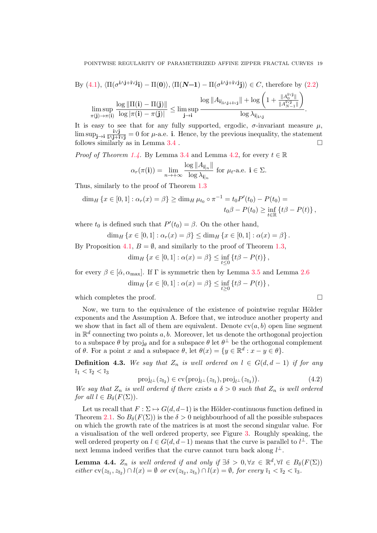By (4.1), 
$$
\langle \Pi(\sigma^{i\wedge j+i\vee j}i) - \Pi(0) \rangle
$$
,  $\langle \Pi(\mathbf{N-1}) - \Pi(\sigma^{i\wedge j+i\vee j}j) \rangle \in C$ , therefore by (2.2)  
\n
$$
\limsup_{\pi(j) \to \pi(i)} \frac{\log \|\Pi(i) - \Pi(j)\|}{\log |\pi(i) - \pi(j)|} \le \limsup_{j \to i} \frac{\log \|A_{i_{j+1} \vee j}\| + \log \left(1 + \frac{\|A_0^{i\vee j}\|}{\|A_{N-1}^{i\vee j}\|}\right)}{\log \lambda_{i_{j+1}}}.
$$

It is easy to see that for any fully supported, ergodic,  $\sigma$ -invariant measure  $\mu$ ,  $\limsup_{j\to i}\frac{i\vee j}{i\wedge j+i\vee j}=0$  for  $\mu$ -a.e. i. Hence, by the previous inequality, the statement follows similarly as in Lemma  $3.4$ .

*Proof of Theorem [1.4.](#page-5-2)* By Lemma [3.4](#page-14-1) and Lemma [4.2,](#page-17-2) for every  $t \in \mathbb{R}$ 

$$
\alpha_r(\pi(\mathbf{i})) = \lim_{n \to +\infty} \frac{\log ||A_{\mathbf{i}|_n}||}{\log \lambda_{\mathbf{i}|_n}} \text{ for } \mu_t\text{-a.e. } \mathbf{i} \in \Sigma.
$$

Thus, similarly to the proof of Theorem [1.3](#page-4-2)

$$
\dim_H \{x \in [0,1] : \alpha_r(x) = \beta\} \ge \dim_H \mu_{t_0} \circ \pi^{-1} = t_0 P'(t_0) - P(t_0) =
$$
  

$$
t_0 \beta - P(t_0) \ge \inf_{t \in \mathbb{R}} \{t\beta - P(t)\},
$$

where  $t_0$  is defined such that  $P'(t_0) = \beta$ . On the other hand,

$$
\dim_H \{x \in [0,1] : \alpha_r(x) = \beta\} \le \dim_H \{x \in [0,1] : \alpha(x) = \beta\}.
$$

By Proposition [4.1,](#page-17-3)  $B = \emptyset$ , and similarly to the proof of Theorem [1.3,](#page-4-2)

$$
\dim_H \{ x \in [0,1] : \alpha(x) = \beta \} \leq \inf_{t \leq 0} \{ t\beta - P(t) \},
$$

for every  $\beta \in [\hat{\alpha}, \alpha_{\text{max}}]$ . If  $\Gamma$  is symmetric then by Lemma [3.5](#page-15-1) and Lemma [2.6](#page-9-3) dim<sub>H</sub> { $x \in [0,1] : \alpha(x) = \beta$ }  $\leq \inf_{t \geq 0} {t\beta - P(t)}$ ,

which completes the proof.  $\Box$ 

Now, we turn to the equivalence of the existence of pointwise regular Hölder exponents and the Assumption A. Before that, we introduce another property and we show that in fact all of them are equivalent. Denote  $c\nu(a, b)$  open line segment in  $\mathbb{R}^d$  connecting two points a, b. Moreover, let us denote the orthogonal projection to a subspace  $\theta$  by  $\text{proj}_{\theta}$  and for a subspace  $\theta$  let  $\theta^{\perp}$  be the orthogonal complement of  $\theta$ . For a point x and a subspace  $\theta$ , let  $\theta(x) = \{y \in \mathbb{R}^d : x - y \in \theta\}.$ 

**Definition 4.3.** We say that  $Z_n$  is well ordered on  $l \in G(d, d-1)$  if for any  $\overline{i}_1 < \overline{i}_2 < \overline{i}_3$ 

$$
\text{proj}_{l^{\perp}}(z_{\bar{i}_2}) \in \text{cv}(\text{proj}_{l^{\perp}}(z_{\bar{i}_1}), \text{proj}_{l^{\perp}}(z_{\bar{i}_3})).\tag{4.2}
$$

We say that  $Z_n$  is well ordered if there exists a  $\delta > 0$  such that  $Z_n$  is well ordered for all  $l \in B_\delta(F(\Sigma))$ .

Let us recall that  $F : \Sigma \mapsto G(d, d-1)$  is the Hölder-continuous function defined in Theorem [2.1.](#page-6-0) So  $B_{\delta}(F(\Sigma))$  is the  $\delta > 0$  neighbourhood of all the possible subspaces on which the growth rate of the matrices is at most the second singular value. For a visualisation of the well ordered property, see Figure [3.](#page-19-0) Roughly speaking, the well ordered property on  $l \in G(d, d-1)$  means that the curve is parallel to  $l^{\perp}$ . The next lemma indeed verifies that the curve cannot turn back along  $l^{\perp}$ .

<span id="page-18-0"></span>**Lemma 4.4.**  $Z_n$  is well ordered if and only if  $\exists \delta > 0, \forall x \in \mathbb{R}^d, \forall l \in B_\delta(F(\Sigma))$ either  $\text{cv}(z_{\bar{i}_1}, z_{\bar{i}_2}) \cap l(x) = \emptyset$  or  $\text{cv}(z_{\bar{i}_2}, z_{\bar{i}_3}) \cap l(x) = \emptyset$ , for every  $\bar{i}_1 < \bar{i}_2 < \bar{i}_3$ .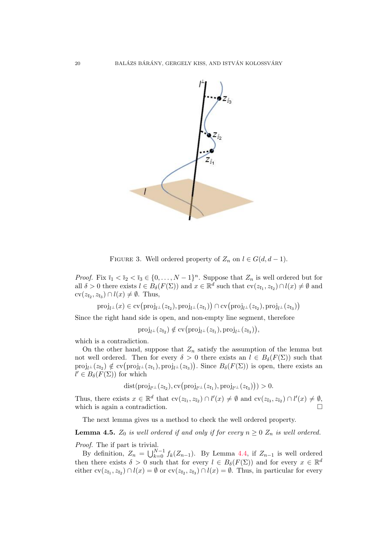

<span id="page-19-0"></span>FIGURE 3. Well ordered property of  $Z_n$  on  $l \in G(d, d-1)$ .

*Proof.* Fix  $\bar{i}_1 < \bar{i}_2 < \bar{i}_3 \in \{0, \ldots, N-1\}^n$ . Suppose that  $Z_n$  is well ordered but for all  $\delta > 0$  there exists  $l \in B_{\delta}(F(\Sigma))$  and  $x \in \mathbb{R}^d$  such that  $\text{cv}(z_{\bar{i}_1}, z_{\bar{i}_2}) \cap l(x) \neq \emptyset$  and  $cv(z_{\bar{i}_2}, z_{\bar{i}_3}) \cap l(x) \neq \emptyset$ . Thus,

 $\mathrm{proj}_{l^{\perp}}(x) \in \text{cv} \big( \mathrm{proj}_{l^{\perp}}(z_{\bar{\imath}_2}), \mathrm{proj}_{l^{\perp}}(z_{\bar{\imath}_1}) \big) \cap \text{cv} \big( \mathrm{proj}_{l^{\perp}}(z_{\bar{\imath}_2}), \mathrm{proj}_{l^{\perp}}(z_{\bar{\imath}_3}) \big)$ 

Since the right hand side is open, and non-empty line segment, therefore

$$
\mathrm{proj}_{l^{\perp}}(z_{\bar{\imath}_2}) \notin \mathrm{cv}(\mathrm{proj}_{l^{\perp}}(z_{\bar{\imath}_1}), \mathrm{proj}_{l^{\perp}}(z_{\bar{\imath}_3})\big),
$$

which is a contradiction.

On the other hand, suppose that  $Z_n$  satisfy the assumption of the lemma but not well ordered. Then for every  $\delta > 0$  there exists an  $l \in B_{\delta}(F(\Sigma))$  such that  $proj_{l^{\perp}}(z_{\bar{i}_2}) \notin \text{cv}(\text{proj}_{l^{\perp}}(z_{\bar{i}_1}), \text{proj}_{l^{\perp}}(z_{\bar{i}_3}))$ . Since  $B_{\delta}(F(\Sigma))$  is open, there exists an  $l' \in B_{\delta}(F(\Sigma))$  for which

 $dist(proj_{l'}(z_{\bar{i}_2}), cv(proj_{l'}(z_{\bar{i}_1}), proj_{l'}(z_{\bar{i}_3}))) > 0.$ 

Thus, there exists  $x \in \mathbb{R}^d$  that  $\text{cv}(z_{\bar{i}_1}, z_{\bar{i}_2}) \cap l'(x) \neq \emptyset$  and  $\text{cv}(z_{\bar{i}_3}, z_{\bar{i}_2}) \cap l'(x) \neq \emptyset$ , which is again a contradiction.

The next lemma gives us a method to check the well ordered property.

<span id="page-19-1"></span>**Lemma 4.5.**  $Z_0$  is well ordered if and only if for every  $n \geq 0$   $Z_n$  is well ordered. Proof. The if part is trivial.

By definition,  $Z_n = \bigcup_{k=0}^{N-1} f_k(Z_{n-1})$ . By Lemma [4.4,](#page-18-0) if  $Z_{n-1}$  is well ordered then there exists  $\delta > 0$  such that for every  $l \in B_{\delta}(F(\Sigma))$  and for every  $x \in \mathbb{R}^d$ either  $cv(z_{\bar{i}_1}, z_{\bar{i}_2}) \cap l(x) = \emptyset$  or  $cv(z_{\bar{i}_2}, z_{\bar{i}_3}) \cap l(x) = \emptyset$ . Thus, in particular for every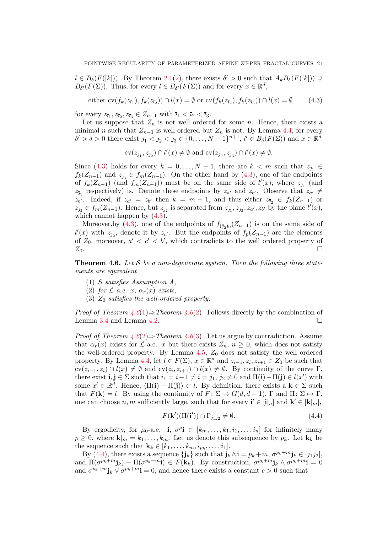$l \in B_{\delta}(F([k]))$ . By Theorem [2.1\(](#page-6-0)[2\)](#page-6-2), there exists  $\delta' > 0$  such that  $A_k B_{\delta}(F([k])) \supseteq$  $B_{\delta'}(F(\Sigma))$ . Thus, for every  $l \in B_{\delta'}(F(\Sigma))$  and for every  $x \in \mathbb{R}^d$ ,

<span id="page-20-0"></span>either 
$$
\text{cv}(f_k(z_{\bar{i}_1}), f_k(z_{\bar{i}_2})) \cap l(x) = \emptyset \text{ or } \text{cv}(f_k(z_{\bar{i}_2}), f_k(z_{\bar{i}_3})) \cap l(x) = \emptyset
$$
 (4.3)

for every  $z_{\bar{i}_1}, z_{\bar{i}_2}, z_{\bar{i}_3} \in Z_{n-1}$  with  $\bar{i}_1 < \bar{i}_2 < \bar{i}_3$ .

Let us suppose that  $Z_n$  is not well ordered for some n. Hence, there exists a minimal n such that  $Z_{n-1}$  is well ordered but  $Z_n$  is not. By Lemma [4.4,](#page-18-0) for every  $\delta' > \delta > 0$  there exist  $\bar{\jmath}_1 < \bar{\jmath}_2 < \bar{\jmath}_3 \in \{0, \ldots, N-1\}^{n+1}, l' \in B_{\delta}(F(\Sigma))$  and  $x \in \mathbb{R}^d$ 

$$
\text{cv}(z_{\bar{j}_1}, z_{\bar{j}_2}) \cap l'(x) \neq \emptyset \text{ and } \text{cv}(z_{\bar{j}_2}, z_{\bar{j}_3}) \cap l'(x) \neq \emptyset.
$$

Since [\(4.3\)](#page-20-0) holds for every  $k = 0, ..., N - 1$ , there are  $k < m$  such that  $z_{\bar{j}_1} \in$  $f_k(Z_{n-1})$  and  $z_{\bar{j}_3} \in f_m(Z_{n-1})$ . On the other hand by  $(4.3)$ , one of the endpoints of  $f_k(Z_{n-1})$  (and  $f_m(Z_{n-1})$ ) must be on the same side of  $l'(x)$ , where  $z_{\bar{j}_1}$  (and  $z_{\bar{\jmath}_3}$  respectively) is. Denote these endpoints by  $z_{a'}$  and  $z_{b'}$ . Observe that  $z_{a'} \neq$  $z_{b'}$ . Indeed, if  $z_{a'} = z_{b'}$  then  $k = m - 1$ , and thus either  $z_{\bar{j}_2} \in f_k(Z_{n-1})$  or  $z_{\bar{\jmath}_2} \in f_m(Z_{n-1})$ . Hence, but  $z_{\bar{\jmath}_2}$  is separated from  $z_{\bar{\jmath}_1}, z_{\bar{\jmath}_3}, z_{a'}, z_{b'}$  by the plane  $l'(x)$ , which cannot happen by  $(4.3)$ .

Moreover, by [\(4.3\)](#page-20-0), one of the endpoints of  $f_{(\bar{\jmath}_2)0}(Z_{n-1})$  is on the same side of  $l'(x)$  with  $z_{\bar{j}_2}$ , denote it by  $z_{c'}$ . But the endpoints of  $f_p(Z_{n-1})$  are the elements of  $Z_0$ , moreover,  $a' < c' < b'$ , which contradicts to the well ordered property of  $Z_0$ .

<span id="page-20-1"></span>**Theorem 4.6.** Let S be a non-degenerate system. Then the following three statements are equivalent

- <span id="page-20-2"></span>(1) S satisfies Assumption A,
- <span id="page-20-3"></span>(2) for  $\mathcal{L}\text{-}a.e.$  x,  $\alpha_r(x)$  exists,
- <span id="page-20-4"></span>(3)  $Z_0$  satisfies the well-ordered property.

*Proof of Theorem [4.6](#page-20-1)*[\(1\)](#page-20-2)⇒Theorem 4.6[\(2\)](#page-20-3). Follows directly by the combination of Lemma [3.4](#page-14-1) and Lemma [4.2.](#page-17-2)

*Proof of Theorem [4.6](#page-20-1)*[\(2\)](#page-20-3) $\Rightarrow$  Theorem 4.6[\(3\)](#page-20-4). Let us argue by contradiction. Assume that  $\alpha_r(x)$  exists for L-a.e. x but there exists  $Z_n$ ,  $n \geq 0$ , which does not satisfy the well-ordered property. By Lemma  $4.5, Z_0$  $4.5, Z_0$  does not satisfy the well ordered property. By Lemma [4.4,](#page-18-0) let  $l \in F(\Sigma)$ ,  $x \in \mathbb{R}^d$  and  $z_{i-1}, z_i, z_{i+1} \in Z_0$  be such that  $\text{cv}(z_{i-1}, z_i) \cap l(x) \neq \emptyset$  and  $\text{cv}(z_i, z_{i+1}) \cap l(x) \neq \emptyset$ . By continuity of the curve  $\Gamma$ , there exist  $\mathbf{i}, \mathbf{j} \in \Sigma$  such that  $i_1 = i - 1 \neq i = j_1, j_2 \neq 0$  and  $\Pi(\mathbf{i}) - \Pi(\mathbf{j}) \in l(x')$  with some  $x' \in \mathbb{R}^d$ . Hence,  $\langle \Pi(i) - \Pi(j) \rangle \subset l$ . By definition, there exists a  $\mathbf{k} \in \Sigma$  such that  $F(\mathbf{k}) = l$ . By using the continuity of  $F: \Sigma \mapsto G(d, d-1)$ ,  $\Gamma$  and  $\Pi: \Sigma \mapsto \Gamma$ , one can choose  $n, m$  sufficiently large, such that for every  $\mathbf{i}' \in [\mathbf{i}|_n]$  and  $\mathbf{k}' \in [\mathbf{k}|_m]$ ,

<span id="page-20-5"></span>
$$
F(\mathbf{k}')(\Pi(\mathbf{i}')) \cap \Gamma_{j_1 j_2} \neq \emptyset. \tag{4.4}
$$

By ergodicity, for  $\mu_0$ -a.e. **i**,  $\sigma^p$ **i**  $\in [k_m, \ldots, k_1, i_1, \ldots, i_n]$  for infinitely many  $p \geq 0$ , where  $\mathbf{k}|_m = k_1, \ldots, k_m$ . Let us denote this subsequence by  $p_k$ . Let  $\mathbf{k}_k$  be the sequence such that  $\mathbf{k}_k \in [k_1, \ldots, k_m, i_{p_k}, \ldots, i_1].$ 

By [\(4.4\)](#page-20-5), there exists a sequence  $\{\mathbf{j}_k\}$  such that  $\mathbf{j}_k \wedge \mathbf{i} = p_k + m$ ,  $\sigma^{p_k+m} \mathbf{j}_k \in [j_1 j_2]$ , and  $\Pi(\sigma^{p_k+m} \mathbf{j}_k) - \Pi(\sigma^{p_k+m} \mathbf{i}) \in F(\mathbf{k}_k)$ . By construction,  $\sigma^{p_k+m} \mathbf{j}_k \wedge \sigma^{p_k+m} \mathbf{i} = 0$ and  $\sigma^{p_k+m}$ **j**<sub>k</sub>  $\vee \sigma^{p_k+m}$ **i** = 0, and hence there exists a constant  $c > 0$  such that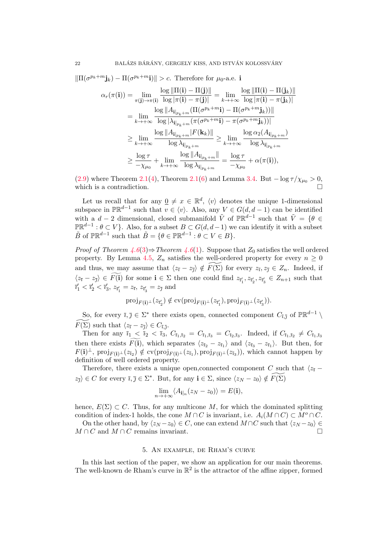$\|\Pi(\sigma^{p_k+m}\mathbf{j}_k)-\Pi(\sigma^{p_k+m}\mathbf{i})\|>c.$  Therefore for  $\mu_0$ -a.e. i

$$
\alpha_r(\pi(\mathbf{i})) = \lim_{\pi(\mathbf{j}) \to \pi(\mathbf{i})} \frac{\log \|\Pi(\mathbf{i}) - \Pi(\mathbf{j})\|}{\log |\pi(\mathbf{i}) - \pi(\mathbf{j})|} = \lim_{k \to +\infty} \frac{\log \|\Pi(\mathbf{i}) - \Pi(\mathbf{j}_k)\|}{\log |\pi(\mathbf{i}) - \pi(\mathbf{j}_k)|}
$$
  
\n
$$
= \lim_{k \to +\infty} \frac{\log \|A_{\mathbf{i}|_{p_k+m}} (\Pi(\sigma^{p_k+m}\mathbf{i}) - \Pi(\sigma^{p_k+m}\mathbf{j}_k))\|}{\log |\lambda_{\mathbf{i}|_{p_k+m}} (\pi(\sigma^{p_k+m}\mathbf{i}) - \pi(\sigma^{p_k+m}\mathbf{j}_k))|}
$$
  
\n
$$
\geq \lim_{k \to +\infty} \frac{\log \|A_{\mathbf{i}|_{p_k+m}} |F(\mathbf{k}_k)\|}{\log \lambda_{\mathbf{i}|_{p_k+m}}} \geq \lim_{k \to +\infty} \frac{\log \alpha_2(A_{\mathbf{i}|_{p_k+m}})}{\log \lambda_{\mathbf{i}|_{p_k+m}}}
$$
  
\n
$$
\geq \frac{\log \tau}{-\chi_{\mu_0}} + \lim_{k \to +\infty} \frac{\log \|A_{\mathbf{i}|_{p_k+m}}\|}{\log \lambda_{\mathbf{i}|_{p_k+m}}} = \frac{\log \tau}{-\chi_{\mu_0}} + \alpha(\pi(\mathbf{i})),
$$

[\(2.9\)](#page-8-1) where Theorem [2.1](#page-6-0)[\(4\)](#page-6-3), Theorem [2.1\(](#page-6-0)[6\)](#page-6-4) and Lemma [3.4.](#page-14-1) But  $-\log \tau / \chi_{\mu_0} > 0$ , which is a contradiction.  $\Box$ 

Let us recall that for any  $\underline{0} \neq x \in \mathbb{R}^d$ ,  $\langle v \rangle$  denotes the unique 1-dimensional subspace in  $\mathbb{PR}^{d-1}$  such that  $v \in \langle v \rangle$ . Also, any  $V \in G(d, d-1)$  can be identified with a  $d-2$  dimensional, closed submanifold  $\tilde{V}$  of  $\mathbb{PR}^{d-1}$  such that  $\tilde{V} = \{ \theta \in$  $\mathbb{PR}^{d-1} : \theta \subset V$ . Also, for a subset  $B \subset G(d, d-1)$  we can identify it with a subset  $\tilde{B}$  of  $\mathbb{PR}^{d-1}$  such that  $\tilde{B} = \{ \theta \in \mathbb{PR}^{d-1} : \theta \subset V \in B \}.$ 

*Proof of Theorem [4.6](#page-20-1)*[\(3\)](#page-20-4) $\Rightarrow$  Theorem 4.6[\(1\)](#page-20-2). Suppose that  $Z_0$  satisfies the well ordered property. By Lemma [4.5,](#page-19-1)  $Z_n$  satisfies the well-ordered property for every  $n \geq 0$ and thus, we may assume that  $\langle z_{\overline{i}} - z_{\overline{j}} \rangle \notin \widetilde{F(\Sigma)}$  for every  $z_{\overline{i}}, z_{\overline{j}} \in Z_n$ . Indeed, if  $\langle z_{\bar{i}} - z_{\bar{j}} \rangle \in F(\mathbf{i})$  for some  $\mathbf{i} \in \Sigma$  then one could find  $z_{\bar{i}'_1}, z_{\bar{i}'_2}, z_{\bar{i}'_3} \in Z_{n+1}$  such that  $\bar{i}'_1 < \bar{i}'_2 < \bar{i}'_3$ ,  $z_{\bar{i}'_1} = z_{\bar{i}},$   $z_{\bar{i}'_3} = z_{\bar{j}}$  and

$$
\text{proj}_{F(\mathbf{i})^{\perp}}(z_{\bar{\imath}_2'}) \notin \text{cv}(\text{proj}_{F(\mathbf{i})^{\perp}}(z_{\bar{\imath}_1'}), \text{proj}_{F(\mathbf{i})^{\perp}}(z_{\bar{\imath}_3'})).
$$

So, for every  $\overline{i}, \overline{j} \in \Sigma^*$  there exists open, connected component  $C_{\overline{i}, \overline{j}}$  of  $\mathbb{PR}^{d-1} \setminus$  $\widetilde{F(\Sigma)}$  such that  $\langle z_{\overline{i}} - z_{\overline{j}} \rangle \in C_{\overline{i}, \overline{j}}$ .

Then for any  $\bar{i}_1 < \bar{i}_2 < \bar{i}_3$ ,  $C_{\bar{i}_1,\bar{i}_2} = C_{\bar{i}_1,\bar{i}_3} = C_{\bar{i}_2,\bar{i}_3}$ . Indeed, if  $C_{\bar{i}_1,\bar{i}_2} \neq C_{\bar{i}_1,\bar{i}_3}$ then there exists  $F(i)$ , which separates  $\langle z_{\bar{i}_2} - z_{\bar{i}_1} \rangle$  and  $\langle z_{\bar{i}_3} - z_{\bar{i}_1} \rangle$ . But then, for  $F(\mathbf{i})^{\perp}$ , proj $_{F(\mathbf{i})^{\perp}}(z_{\bar{i}_2}) \notin \text{cv}(\text{proj}_{F(\mathbf{i})^{\perp}}(z_{\bar{i}_1}), \text{proj}_{F(\mathbf{i})^{\perp}}(z_{\bar{i}_3})),$  which cannot happen by definition of well ordered property.

Therefore, there exists a unique open,connected component C such that  $\langle z_{\bar{i}} \langle z_{\overline{j}} \rangle \in C$  for every  $\overline{i}, \overline{j} \in \Sigma^*$ . But, for any  $\mathbf{i} \in \Sigma$ , since  $\langle z_N - z_0 \rangle \notin \widetilde{F(\Sigma)}$ 

$$
\lim_{n \to +\infty} \langle A_{\mathbf{i}|_n} (z_N - z_0) \rangle = E(\mathbf{i}),
$$

hence,  $E(\Sigma) \subset C$ . Thus, for any multicone M, for which the dominated splitting condition of index-1 holds, the cone  $M \cap C$  is invariant, i.e.  $A_i(M \cap C) \subset M^o \cap C$ .

On the other hand, by  $\langle z_N - z_0 \rangle \in C$ , one can extend  $M \cap C$  such that  $\langle z_N - z_0 \rangle \in C$  $M \cap C$  and  $M \cap C$  remains invariant.

### 5. An example, de Rham's curve

<span id="page-21-0"></span>In this last section of the paper, we show an application for our main theorems. The well-known de Rham's curve in  $\mathbb{R}^2$  is the attractor of the affine zipper, formed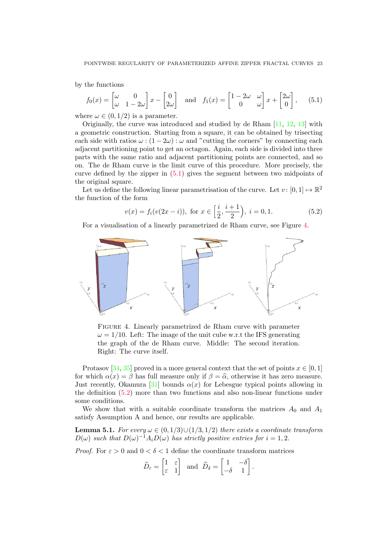by the functions

<span id="page-22-0"></span>
$$
f_0(x) = \begin{bmatrix} \omega & 0 \\ \omega & 1 - 2\omega \end{bmatrix} x - \begin{bmatrix} 0 \\ 2\omega \end{bmatrix} \text{ and } f_1(x) = \begin{bmatrix} 1 - 2\omega & \omega \\ 0 & \omega \end{bmatrix} x + \begin{bmatrix} 2\omega \\ 0 \end{bmatrix}, \quad (5.1)
$$

where  $\omega \in (0, 1/2)$  is a parameter.

Originally, the curve was introduced and studied by de Rham  $[11, 12, 13]$  $[11, 12, 13]$  $[11, 12, 13]$  $[11, 12, 13]$  with a geometric construction. Starting from a square, it can be obtained by trisecting each side with ratios  $\omega$  :  $(1-2\omega)$  :  $\omega$  and "cutting the corners" by connecting each adjacent partitioning point to get an octagon. Again, each side is divided into three parts with the same ratio and adjacent partitioning points are connected, and so on. The de Rham curve is the limit curve of this procedure. More precisely, the curve defined by the zipper in [\(5.1\)](#page-22-0) gives the segment between two midpoints of the original square.

Let us define the following linear parametrisation of the curve. Let  $v: [0,1] \mapsto \mathbb{R}^2$ the function of the form

<span id="page-22-2"></span>
$$
v(x) = f_i(v(2x - i)), \text{ for } x \in \left[\frac{i}{2}, \frac{i+1}{2}\right), i = 0, 1.
$$
 (5.2)

For a visualisation of a linearly parametrized de Rham curve, see Figure [4.](#page-22-1)



<span id="page-22-1"></span>Figure 4. Linearly parametrized de Rham curve with parameter  $\omega = 1/10$ . Left: The image of the unit cube w.r.t the IFS generating the graph of the de Rham curve. Middle: The second iteration. Right: The curve itself.

Protasov [\[34,](#page-26-10) [35\]](#page-26-2) proved in a more general context that the set of points  $x \in [0,1]$ for which  $\alpha(x) = \beta$  has full measure only if  $\beta = \hat{\alpha}$ , otherwise it has zero measure. Just recently, Okamura [\[31\]](#page-26-6) bounds  $\alpha(x)$  for Lebesgue typical points allowing in the definition [\(5.2\)](#page-22-2) more than two functions and also non-linear functions under some conditions.

We show that with a suitable coordinate transform the matrices  $A_0$  and  $A_1$ satisfy Assumption A and hence, our results are applicable.

<span id="page-22-3"></span>**Lemma 5.1.** For every  $\omega \in (0,1/3) \cup (1/3,1/2)$  there exists a coordinate transform  $D(\omega)$  such that  $D(\omega)^{-1}A_iD(\omega)$  has strictly positive entries for  $i = 1, 2$ .

*Proof.* For  $\varepsilon > 0$  and  $0 < \delta < 1$  define the coordinate transform matrices

$$
\widetilde{D}_{\varepsilon} = \begin{bmatrix} 1 & \varepsilon \\ \varepsilon & 1 \end{bmatrix} \text{ and } \widehat{D}_{\delta} = \begin{bmatrix} 1 & -\delta \\ -\delta & 1 \end{bmatrix}.
$$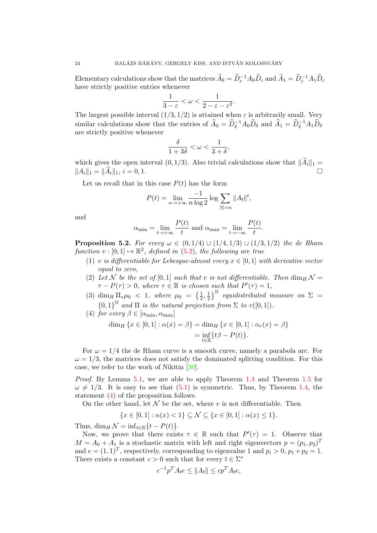Elementary calculations show that the matrices  $\widetilde{A}_0 = \widetilde{D}_{\varepsilon}^{-1} A_0 \widetilde{D}_{\varepsilon}$  and  $\widetilde{A}_1 = \widetilde{D}_{\varepsilon}^{-1} A_1 \widetilde{D}_{\varepsilon}$ have strictly positive entries whenever

$$
\frac{1}{3-\varepsilon}<\omega<\frac{1}{2-\varepsilon-\varepsilon^2}.
$$

The largest possible interval  $(1/3, 1/2)$  is attained when  $\varepsilon$  is arbitrarily small. Very similar calculations show that the entries of  $\hat{A}_0 = \hat{D}_\delta^{-1} A_0 \hat{D}_\delta$  and  $\hat{A}_1 = \hat{D}_\delta^{-1} A_1 \hat{D}_\delta$ are strictly positive whenever

$$
\frac{\delta}{1+3\delta}<\omega<\frac{1}{3+\delta},
$$

which gives the open interval  $(0, 1/3)$ . Also trivial calculations show that  $\|\widetilde{A}_i\|_1 = \|A_i\|_1 = \|\widehat{A}_i\|_1$   $i = 0, 1$  $||A_i||_1 = ||\widehat{A}_i||_1, i = 0, 1.$ 

Let us recall that in this case  $P(t)$  has the form

$$
P(t) = \lim_{n \to +\infty} \frac{-1}{n \log 2} \log \sum_{|\overline{\imath}| = n} ||A_{\overline{\imath}}||^t,
$$

and

$$
\alpha_{\min} = \lim_{t \to +\infty} \frac{P(t)}{t}
$$
 and  $\alpha_{\max} = \lim_{t \to -\infty} \frac{P(t)}{t}$ 

.

**Proposition 5.2.** For every  $\omega \in (0, 1/4) \cup (1/4, 1/3) \cup (1/3, 1/2)$  the de Rham function  $v : [0,1] \mapsto \mathbb{R}^2$ , defined in [\(5.2\)](#page-22-2), the following are true

- <span id="page-23-2"></span>(1) v is differentiable for Lebesque-almost every  $x \in [0,1]$  with derivative vector equal to zero,
- <span id="page-23-1"></span>(2) Let N be the set of [0,1] such that v is not differentiable. Then  $\dim_H \mathcal{N} =$  $\tau - P(\tau) > 0$ , where  $\tau \in \mathbb{R}$  is chosen such that  $P'(\tau) = 1$ ,
- <span id="page-23-3"></span>(3) dim<sub>H</sub>  $\Pi_* \mu_0 < 1$ , where  $\mu_0 = \{\frac{1}{2}, \frac{1}{2}\}$  $\frac{1}{2}$ <sup>N</sup> equidistributed measure on  $\Sigma$  =  ${0,1}^{\mathbb{N}}$  and  $\Pi$  is the natural projection from  $\Sigma$  to  $v([0,1])$ .

<span id="page-23-0"></span>(4) for every 
$$
\beta \in [\alpha_{\min}, \alpha_{\max}]
$$

$$
\dim_H \{ x \in [0,1] : \alpha(x) = \beta \} = \dim_H \{ x \in [0,1] : \alpha_r(x) = \beta \}
$$

$$
= \inf_{t \in \mathbb{R}} \{ t\beta - P(t) \}.
$$

For  $\omega = 1/4$  the de Rham curve is a smooth curve, namely a parabola arc. For  $\omega = 1/3$ , the matrices does not satisfy the dominated splitting condition. For this case, we refer to the work of Nikitin [\[30\]](#page-26-11).

Proof. By Lemma [5.1,](#page-22-3) we are able to apply Theorem [1.4](#page-5-2) and Theorem [1.5](#page-5-3) for  $\omega \neq 1/3$ . It is easy to see that [\(5.1\)](#page-22-0) is symmetric. Thus, by Theorem [1.4,](#page-5-2) the statement [\(4\)](#page-23-0) of the proposition follows.

On the other hand, let  $\mathcal N$  be the set, where v is not differentiable. Then

$$
\{x \in [0,1] : \alpha(x) < 1\} \subseteq \mathcal{N} \subseteq \{x \in [0,1] : \alpha(x) \le 1\}.
$$

Thus,  $\dim_H \mathcal{N} = \inf_{t \in \mathbb{R}} \{t - P(t)\}.$ 

Now, we prove that there exists  $\tau \in \mathbb{R}$  such that  $P'(\tau) = 1$ . Observe that  $M = A_0 + A_1$  is a stochastic matrix with left and right eigenvectors  $p = (p_1, p_2)^T$ and  $e = (1, 1)^T$ , respectively, corresponding to eigenvalue 1 and  $p_i > 0$ ,  $p_1 + p_2 = 1$ . There exists a constant  $c > 0$  such that for every  $\overline{i} \in \Sigma^*$ 

$$
c^{-1}p^T A_{\bar{\imath}} e \le ||A_{\bar{\imath}}|| \le c p^T A_{\bar{\imath}} e,
$$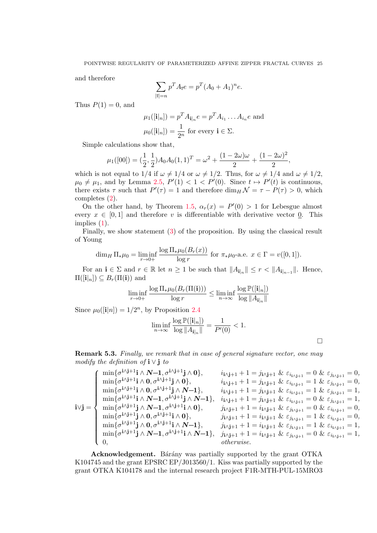and therefore

$$
\sum_{|\bar{\imath}|=n} p^T A_{\bar{\imath}} e = p^T (A_0 + A_1)^n e.
$$

Thus  $P(1) = 0$ , and

$$
\mu_1([\mathbf{i}|_n]) = p^T A_{\mathbf{i}|_n} e = p^T A_{i_1} \dots A_{i_n} e \text{ and}
$$

$$
\mu_0([\mathbf{i}|_n]) = \frac{1}{2^n} \text{ for every } \mathbf{i} \in \Sigma.
$$

Simple calculations show that,

$$
\mu_1([00]) = (\frac{1}{2}, \frac{1}{2})A_0 A_0 (1, 1)^T = \omega^2 + \frac{(1 - 2\omega)\omega}{2} + \frac{(1 - 2\omega)^2}{2},
$$

which is not equal to  $1/4$  if  $\omega \neq 1/4$  or  $\omega \neq 1/2$ . Thus, for  $\omega \neq 1/4$  and  $\omega \neq 1/2$ ,  $\mu_0 \neq \mu_1$ , and by Lemma [2.5,](#page-9-2)  $P'(1) < 1 < P'(0)$ . Since  $t \mapsto P'(t)$  is continuous, there exists  $\tau$  such that  $P'(\tau) = 1$  and therefore  $\dim_H \mathcal{N} = \tau - P(\tau) > 0$ , which completes [\(2\)](#page-23-1).

On the other hand, by Theorem [1.5,](#page-5-3)  $\alpha_r(x) = P'(0) > 1$  for Lebesgue almost every  $x \in [0, 1]$  and therefore v is differentiable with derivative vector 0. This implies [\(1\)](#page-23-2).

Finally, we show statement [\(3\)](#page-23-3) of the proposition. By using the classical result of Young

$$
\dim_H \Pi_* \mu_0 = \liminf_{r \to 0+} \frac{\log \Pi_* \mu_0(B_r(x))}{\log r} \text{ for } \pi_* \mu_0 \text{-a.e. } x \in \Gamma = v([0, 1]).
$$

For an  $\mathbf{i} \in \Sigma$  and  $r \in \mathbb{R}$  let  $n \geq 1$  be such that  $||A_{\mathbf{i}|_n}|| \leq r < ||A_{\mathbf{i}|_{n-1}}||$ . Hence,  $\Pi([\mathbf{i}|_n]) \subseteq B_r(\Pi(\mathbf{i}))$  and

$$
\liminf_{r \to 0+} \frac{\log \Pi_* \mu_0(B_r(\Pi(\mathbf{i})))}{\log r} \leq \liminf_{n \to \infty} \frac{\log \mathbb{P}([\mathbf{i}|_n])}{\log ||A_{\mathbf{i}|_n}||}
$$

Since  $\mu_0([\mathbf{i}|n]) = 1/2^n$ , by Proposition [2.4](#page-8-3)

$$
\liminf_{n\to\infty}\frac{\log\mathbb{P}([\mathbf{i}|_n])}{\log\|A_{\mathbf{i}|_n}\|}=\frac{1}{P'(0)}<1.
$$

<span id="page-24-0"></span>**Remark 5.3.** Finally, we remark that in case of general signature vector, one may modify the definition of  $\mathbf{i} \vee \mathbf{j}$  to

$$
\mathbf{i}\vee\mathbf{j} = \begin{cases}\n\min\{\sigma^{i\wedge j+1}\mathbf{i} \wedge \mathbf{N-1}, \sigma^{i\wedge j+1}\mathbf{j} \wedge \mathbf{0}\}, & i_{i\wedge j+1} + 1 = j_{i\wedge j+1} \& \varepsilon_{i_{i\wedge j+1}} = 0 \& \varepsilon_{j_{i\wedge j+1}} = 0, \\
\min\{\sigma^{i\wedge j+1}\mathbf{i} \wedge \mathbf{0}, \sigma^{i\wedge j+1}\mathbf{j} \wedge \mathbf{N-1}\}, & i_{i\wedge j+1} + 1 = j_{i\wedge j+1} \& \varepsilon_{i_{i\wedge j+1}} = 1 \& \varepsilon_{j_{i\wedge j+1}} = 0, \\
\min\{\sigma^{i\wedge j+1}\mathbf{i} \wedge \mathbf{N-1}, \sigma^{i\wedge j+1}\mathbf{j} \wedge \mathbf{N-1}\}, & i_{i\wedge j+1} + 1 = j_{i\wedge j+1} \& \varepsilon_{i_{i\wedge j+1}} = 1 \& \varepsilon_{j_{i\wedge j+1}} = 1, \\
\min\{\sigma^{i\wedge j+1}\mathbf{j} \wedge \mathbf{N-1}, \sigma^{i\wedge j+1}\mathbf{i} \wedge \mathbf{0}\}, & j_{i\wedge j+1} + 1 = i_{i\wedge j+1} \& \varepsilon_{j_{i\wedge j+1}} = 0 \& \varepsilon_{j_{i\wedge j+1}} = 0, \\
\min\{\sigma^{i\wedge j+1}\mathbf{j} \wedge \mathbf{0}, \sigma^{i\wedge j+1}\mathbf{i} \wedge \mathbf{0}\}, & j_{i\wedge j+1} + 1 = i_{i\wedge j+1} \& \varepsilon_{j_{i\wedge j+1}} = 1 \& \varepsilon_{i_{i\wedge j+1}} = 0, \\
\min\{\sigma^{i\wedge j+1}\mathbf{j} \wedge \mathbf{0}, \sigma^{i\wedge j+1}\mathbf{i} \wedge \mathbf{N-1}\}, & j_{i\wedge j+1} + 1 = i_{i\wedge j+1} \& \varepsilon_{j_{i\wedge j+1}} = 1 \& \varepsilon_{i_{i\wedge
$$

 $\Box$ 

Acknowledgement. Bárány was partially supported by the grant OTKA K104745 and the grant EPSRC EP/J013560/1. Kiss was partially supported by the grant OTKA K104178 and the internal research project F1R-MTH-PUL-15MRO3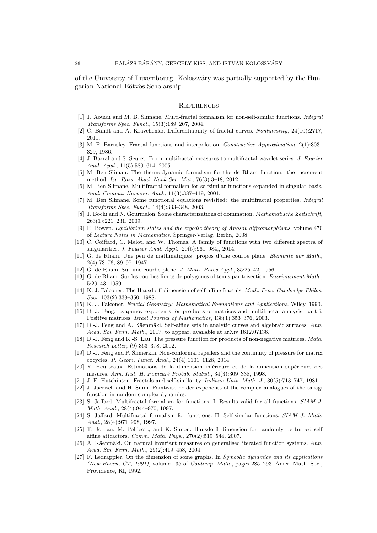of the University of Luxembourg. Kolossv´ary was partially supported by the Hungarian National Eötvös Scholarship.

#### **REFERENCES**

- <span id="page-25-10"></span>[1] J. Aouidi and M. B. Slimane. Multi-fractal formalism for non-self-similar functions. Integral Transforms Spec. Funct., 15(3):189–207, 2004.
- <span id="page-25-7"></span>[2] C. Bandt and A. Kravchenko. Differentiability of fractal curves. Nonlinearity, 24(10):2717, 2011.
- <span id="page-25-1"></span>[3] M. F. Barnsley. Fractal functions and interpolation. Constructive Approximation, 2(1):303– 329, 1986.
- <span id="page-25-14"></span>[4] J. Barral and S. Seuret. From multifractal measures to multifractal wavelet series. *J. Fourier* Anal. Appl., 11(5):589–614, 2005.
- <span id="page-25-13"></span>[5] M. Ben Sliman. The thermodynamic formalism for the de Rham function: the increment method. Izv. Ross. Akad. Nauk Ser. Mat., 76(3):3–18, 2012.
- <span id="page-25-11"></span>[6] M. Ben Slimane. Multifractal formalism for selfsimilar functions expanded in singular basis. Appl. Comput. Harmon. Anal., 11(3):387–419, 2001.
- <span id="page-25-12"></span>[7] M. Ben Slimane. Some functional equations revisited: the multifractal properties. Integral Transforms Spec. Funct., 14(4):333–348, 2003.
- <span id="page-25-17"></span>[8] J. Bochi and N. Gourmelon. Some characterizations of domination. Mathematische Zeitschrift, 263(1):221–231, 2009.
- <span id="page-25-22"></span>[9] R. Bowen. Equilibrium states and the ergodic theory of Anosov diffeomorphisms, volume 470 of Lecture Notes in Mathematics. Springer-Verlag, Berlin, 2008.
- <span id="page-25-16"></span>[10] C. Coiffard, C. Melot, and W. Thomas. A family of functions with two different spectra of singularities. J. Fourier Anal. Appl., 20(5):961–984,, 2014.
- <span id="page-25-24"></span>[11] G. de Rham. Une peu de mathmatiques propos d'une courbe plane. Elemente der Math., 2(4):73–76, 89–97, 1947.
- <span id="page-25-25"></span>[12] G. de Rham. Sur une courbe plane. J. Math. Pures Appl., 35:25–42, 1956.
- <span id="page-25-26"></span>[13] G. de Rham. Sur les courbes limits de polygones obtenus par trisection. *Enseignement Math.*, 5:29–43, 1959.
- <span id="page-25-2"></span>[14] K. J. Falconer. The Hausdorff dimension of self-affine fractals. Math. Proc. Cambridge Philos. Soc., 103(2):339–350, 1988.
- <span id="page-25-6"></span>[15] K. J. Falconer. Fractal Geometry: Mathematical Foundations and Applications. Wiley, 1990.
- <span id="page-25-20"></span>[16] D.-J. Feng. Lyapunov exponents for products of matrices and multifractal analysis. part i: Positive matrices. Israel Journal of Mathematics, 138(1):353–376, 2003.
- <span id="page-25-5"></span>[17] D.-J. Feng and A. Käenmäki. Self-affine sets in analytic curves and algebraic surfaces. Ann. Acad. Sci. Fenn. Math., 2017. to appear, available at arXiv:1612.07136.
- <span id="page-25-21"></span>[18] D.-J. Feng and K.-S. Lau. The pressure function for products of non-negative matrices. Math. Research Letter, (9):363–378, 2002.
- <span id="page-25-19"></span>[19] D.-J. Feng and P. Shmerkin. Non-conformal repellers and the continuity of pressure for matrix cocycles. P. Geom. Funct. Anal., 24(4):1101–1128, 2014.
- <span id="page-25-23"></span>[20] Y. Heurteaux. Estimations de la dimension inférieure et de la dimension supérieure des mesures. Ann. Inst. H. Poincaré Probab. Statist., 34(3):309-338, 1998.
- <span id="page-25-0"></span>[21] J. E. Hutchinson. Fractals and self-similarity. *Indiana Univ. Math. J.*, 30(5):713–747, 1981.
- <span id="page-25-15"></span>[22] J. Jaerisch and H. Sumi. Pointwise hölder exponents of the complex analogues of the takagi function in random complex dynamics.
- <span id="page-25-8"></span>[23] S. Jaffard. Multifractal formalism for functions. I. Results valid for all functions. SIAM J. Math. Anal., 28(4):944–970, 1997.
- <span id="page-25-9"></span>[24] S. Jaffard. Multifractal formalism for functions. II. Self-similar functions. SIAM J. Math. Anal., 28(4):971–998, 1997.
- <span id="page-25-3"></span>[25] T. Jordan, M. Pollicott, and K. Simon. Hausdorff dimension for randomly perturbed self affine attractors. Comm. Math. Phys., 270(2):519–544, 2007.
- <span id="page-25-18"></span>[26] A. Käenmäki. On natural invariant measures on generalised iterated function systems. Ann. Acad. Sci. Fenn. Math., 29(2):419–458, 2004.
- <span id="page-25-4"></span>[27] F. Ledrappier. On the dimension of some graphs. In Symbolic dynamics and its applications (New Haven, CT, 1991), volume 135 of Contemp. Math., pages 285–293. Amer. Math. Soc., Providence, RI, 1992.